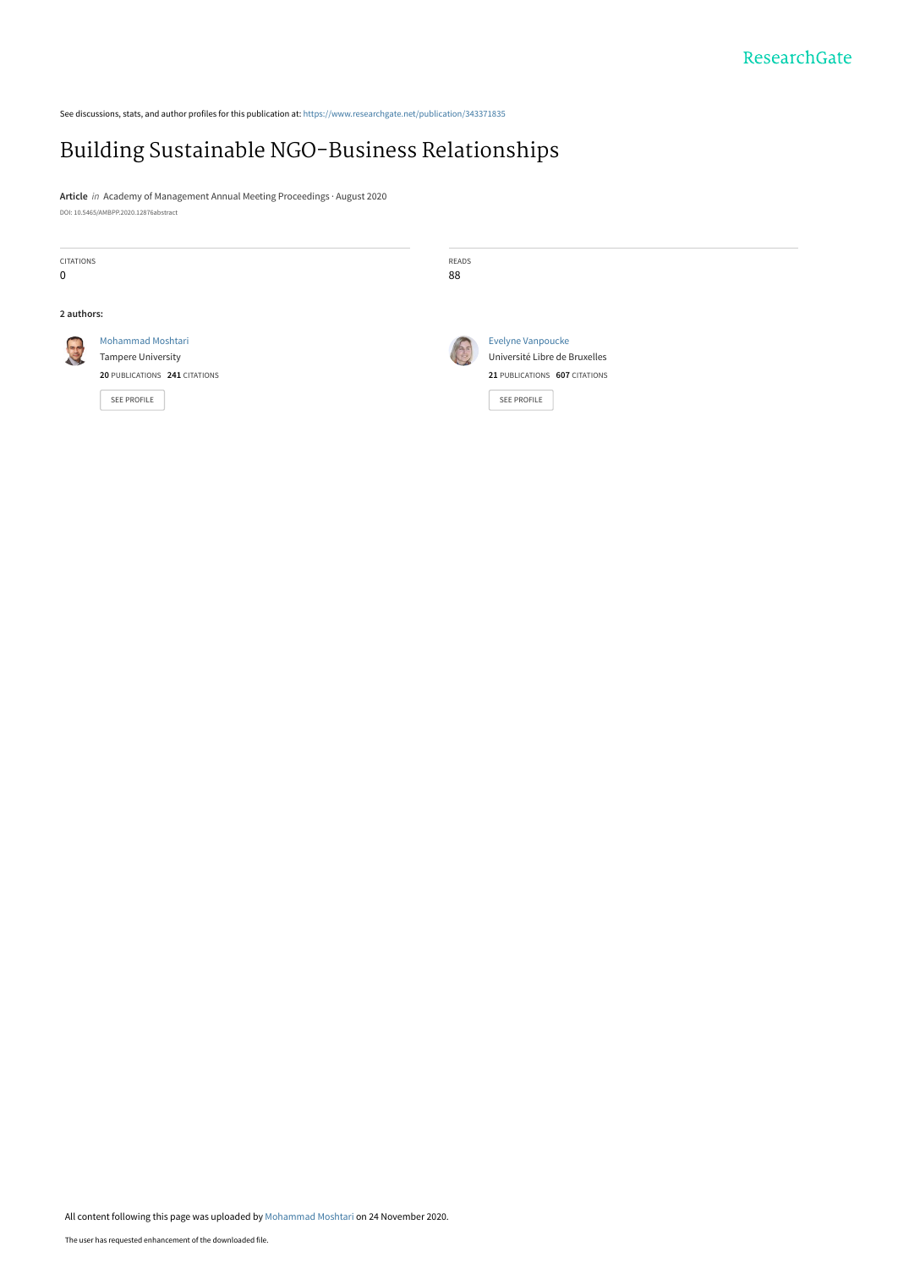See discussions, stats, and author profiles for this publication at: [https://www.researchgate.net/publication/343371835](https://www.researchgate.net/publication/343371835_Building_Sustainable_NGO-Business_Relationships?enrichId=rgreq-201b6a8d2273c8b5de7825c627000af0-XXX&enrichSource=Y292ZXJQYWdlOzM0MzM3MTgzNTtBUzo5NjE0NDU0NDEzMDY2NDhAMTYwNjIzNzg2NDU5MA%3D%3D&el=1_x_2&_esc=publicationCoverPdf)

# [Building Sustainable NGO-Business Relationships](https://www.researchgate.net/publication/343371835_Building_Sustainable_NGO-Business_Relationships?enrichId=rgreq-201b6a8d2273c8b5de7825c627000af0-XXX&enrichSource=Y292ZXJQYWdlOzM0MzM3MTgzNTtBUzo5NjE0NDU0NDEzMDY2NDhAMTYwNjIzNzg2NDU5MA%3D%3D&el=1_x_3&_esc=publicationCoverPdf)

**Article** in Academy of Management Annual Meeting Proceedings · August 2020 DOI: 10.5465/AMBPP.2020.12876abstract

| CITATIONS<br>0 |                                                                                                       | READS<br>88   |                                                                                                           |
|----------------|-------------------------------------------------------------------------------------------------------|---------------|-----------------------------------------------------------------------------------------------------------|
| 2 authors:     |                                                                                                       |               |                                                                                                           |
| E              | <b>Mohammad Moshtari</b><br><b>Tampere University</b><br>20 PUBLICATIONS 241 CITATIONS<br>SEE PROFILE | $\frac{1}{2}$ | Evelyne Vanpoucke<br>Université Libre de Bruxelles<br>21 PUBLICATIONS 607 CITATIONS<br><b>SEE PROFILE</b> |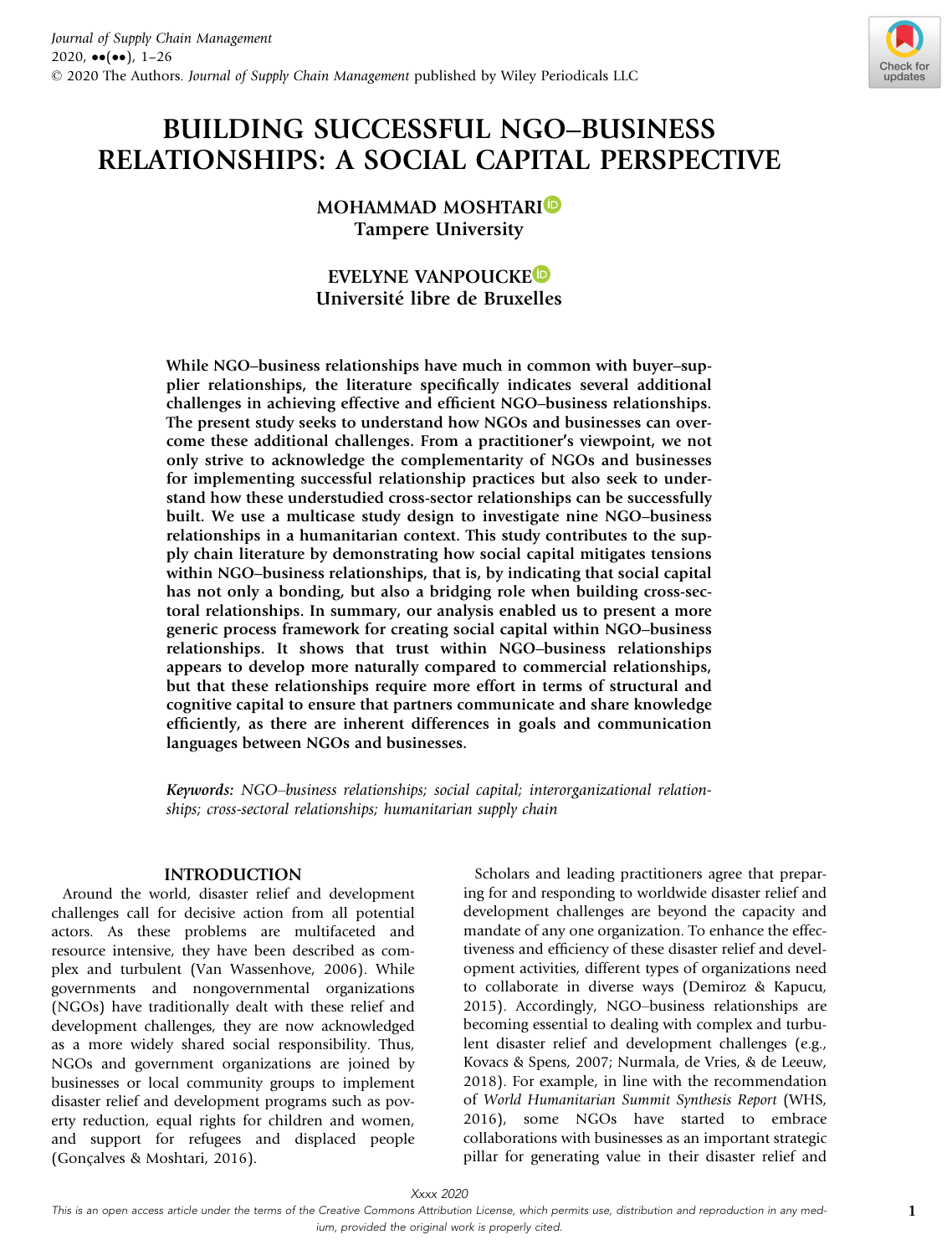

# BUILDING SUCCESSFUL NGO–BUSINESS RELATIONSHIPS: A SOCIAL CAPITAL PERSPECTIVE

MOHAMMAD MOSHTARI<sup>D</sup> Tampere University

# EVELYNE VANPOUCKED Universite libre de Bruxelles

While NGO–business relationships have much in common with buyer–supplier relationships, the literature specifically indicates several additional challenges in achieving effective and efficient NGO–business relationships. The present study seeks to understand how NGOs and businesses can overcome these additional challenges. From a practitioner's viewpoint, we not only strive to acknowledge the complementarity of NGOs and businesses for implementing successful relationship practices but also seek to understand how these understudied cross-sector relationships can be successfully built. We use a multicase study design to investigate nine NGO–business relationships in a humanitarian context. This study contributes to the supply chain literature by demonstrating how social capital mitigates tensions within NGO–business relationships, that is, by indicating that social capital has not only a bonding, but also a bridging role when building cross-sectoral relationships. In summary, our analysis enabled us to present a more generic process framework for creating social capital within NGO–business relationships. It shows that trust within NGO–business relationships appears to develop more naturally compared to commercial relationships, but that these relationships require more effort in terms of structural and cognitive capital to ensure that partners communicate and share knowledge efficiently, as there are inherent differences in goals and communication languages between NGOs and businesses.

*Keywords:* NGO–business relationships; social capital; interorganizational relationships; cross-sectoral relationships; humanitarian supply chain

## INTRODUCTION

Around the world, disaster relief and development challenges call for decisive action from all potential actors. As these problems are multifaceted and resource intensive, they have been described as complex and turbulent (Van Wassenhove, 2006). While governments and nongovernmental organizations (NGOs) have traditionally dealt with these relief and development challenges, they are now acknowledged as a more widely shared social responsibility. Thus, NGOs and government organizations are joined by businesses or local community groups to implement disaster relief and development programs such as poverty reduction, equal rights for children and women, and support for refugees and displaced people (Goncalves & Moshtari, 2016).

Scholars and leading practitioners agree that preparing for and responding to worldwide disaster relief and development challenges are beyond the capacity and mandate of any one organization. To enhance the effectiveness and efficiency of these disaster relief and development activities, different types of organizations need to collaborate in diverse ways (Demiroz & Kapucu, 2015). Accordingly, NGO–business relationships are becoming essential to dealing with complex and turbulent disaster relief and development challenges (e.g., Kovacs & Spens, 2007; Nurmala, de Vries, & de Leeuw, 2018). For example, in line with the recommendation of World Humanitarian Summit Synthesis Report (WHS, 2016), some NGOs have started to embrace collaborations with businesses as an important strategic pillar for generating value in their disaster relief and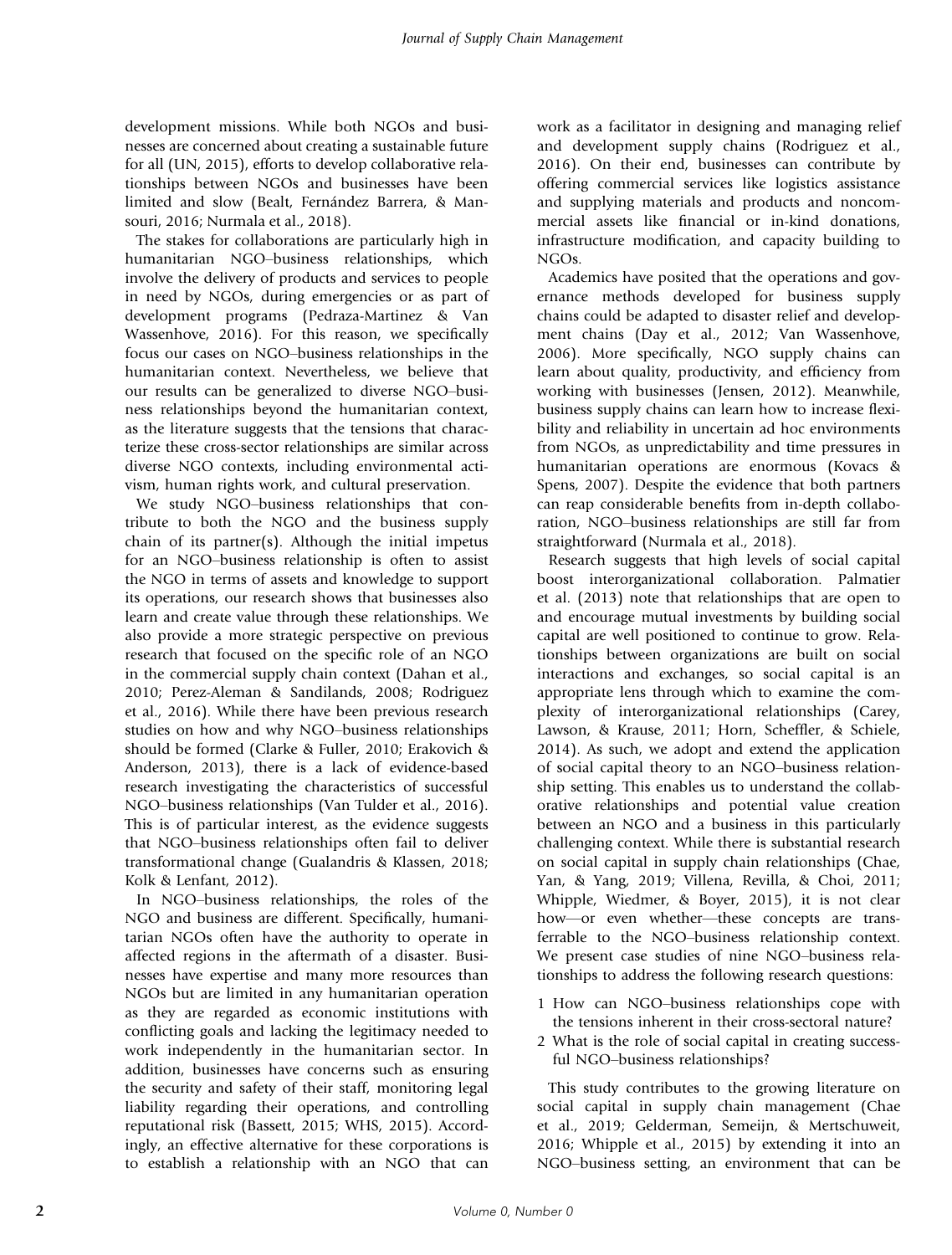development missions. While both NGOs and businesses are concerned about creating a sustainable future for all (UN, 2015), efforts to develop collaborative relationships between NGOs and businesses have been limited and slow (Bealt, Fernández Barrera, & Mansouri, 2016; Nurmala et al., 2018).

The stakes for collaborations are particularly high in humanitarian NGO–business relationships, which involve the delivery of products and services to people in need by NGOs, during emergencies or as part of development programs (Pedraza-Martinez & Van Wassenhove, 2016). For this reason, we specifically focus our cases on NGO–business relationships in the humanitarian context. Nevertheless, we believe that our results can be generalized to diverse NGO–business relationships beyond the humanitarian context, as the literature suggests that the tensions that characterize these cross-sector relationships are similar across diverse NGO contexts, including environmental activism, human rights work, and cultural preservation.

We study NGO–business relationships that contribute to both the NGO and the business supply chain of its partner(s). Although the initial impetus for an NGO–business relationship is often to assist the NGO in terms of assets and knowledge to support its operations, our research shows that businesses also learn and create value through these relationships. We also provide a more strategic perspective on previous research that focused on the specific role of an NGO in the commercial supply chain context (Dahan et al., 2010; Perez-Aleman & Sandilands, 2008; Rodriguez et al., 2016). While there have been previous research studies on how and why NGO–business relationships should be formed (Clarke & Fuller, 2010; Erakovich & Anderson, 2013), there is a lack of evidence-based research investigating the characteristics of successful NGO–business relationships (Van Tulder et al., 2016). This is of particular interest, as the evidence suggests that NGO–business relationships often fail to deliver transformational change (Gualandris & Klassen, 2018; Kolk & Lenfant, 2012).

In NGO–business relationships, the roles of the NGO and business are different. Specifically, humanitarian NGOs often have the authority to operate in affected regions in the aftermath of a disaster. Businesses have expertise and many more resources than NGOs but are limited in any humanitarian operation as they are regarded as economic institutions with conflicting goals and lacking the legitimacy needed to work independently in the humanitarian sector. In addition, businesses have concerns such as ensuring the security and safety of their staff, monitoring legal liability regarding their operations, and controlling reputational risk (Bassett, 2015; WHS, 2015). Accordingly, an effective alternative for these corporations is to establish a relationship with an NGO that can

work as a facilitator in designing and managing relief and development supply chains (Rodriguez et al., 2016). On their end, businesses can contribute by offering commercial services like logistics assistance and supplying materials and products and noncommercial assets like financial or in-kind donations, infrastructure modification, and capacity building to NGOs.

Academics have posited that the operations and governance methods developed for business supply chains could be adapted to disaster relief and development chains (Day et al., 2012; Van Wassenhove, 2006). More specifically, NGO supply chains can learn about quality, productivity, and efficiency from working with businesses (Jensen, 2012). Meanwhile, business supply chains can learn how to increase flexibility and reliability in uncertain ad hoc environments from NGOs, as unpredictability and time pressures in humanitarian operations are enormous (Kovacs & Spens, 2007). Despite the evidence that both partners can reap considerable benefits from in-depth collaboration, NGO–business relationships are still far from straightforward (Nurmala et al., 2018).

Research suggests that high levels of social capital boost interorganizational collaboration. Palmatier et al. (2013) note that relationships that are open to and encourage mutual investments by building social capital are well positioned to continue to grow. Relationships between organizations are built on social interactions and exchanges, so social capital is an appropriate lens through which to examine the complexity of interorganizational relationships (Carey, Lawson, & Krause, 2011; Horn, Scheffler, & Schiele, 2014). As such, we adopt and extend the application of social capital theory to an NGO–business relationship setting. This enables us to understand the collaborative relationships and potential value creation between an NGO and a business in this particularly challenging context. While there is substantial research on social capital in supply chain relationships (Chae, Yan, & Yang, 2019; Villena, Revilla, & Choi, 2011; Whipple, Wiedmer, & Boyer, 2015), it is not clear how—or even whether—these concepts are transferrable to the NGO–business relationship context. We present case studies of nine NGO–business relationships to address the following research questions:

- 1 How can NGO–business relationships cope with the tensions inherent in their cross-sectoral nature?
- 2 What is the role of social capital in creating successful NGO–business relationships?

This study contributes to the growing literature on social capital in supply chain management (Chae et al., 2019; Gelderman, Semeijn, & Mertschuweit, 2016; Whipple et al., 2015) by extending it into an NGO–business setting, an environment that can be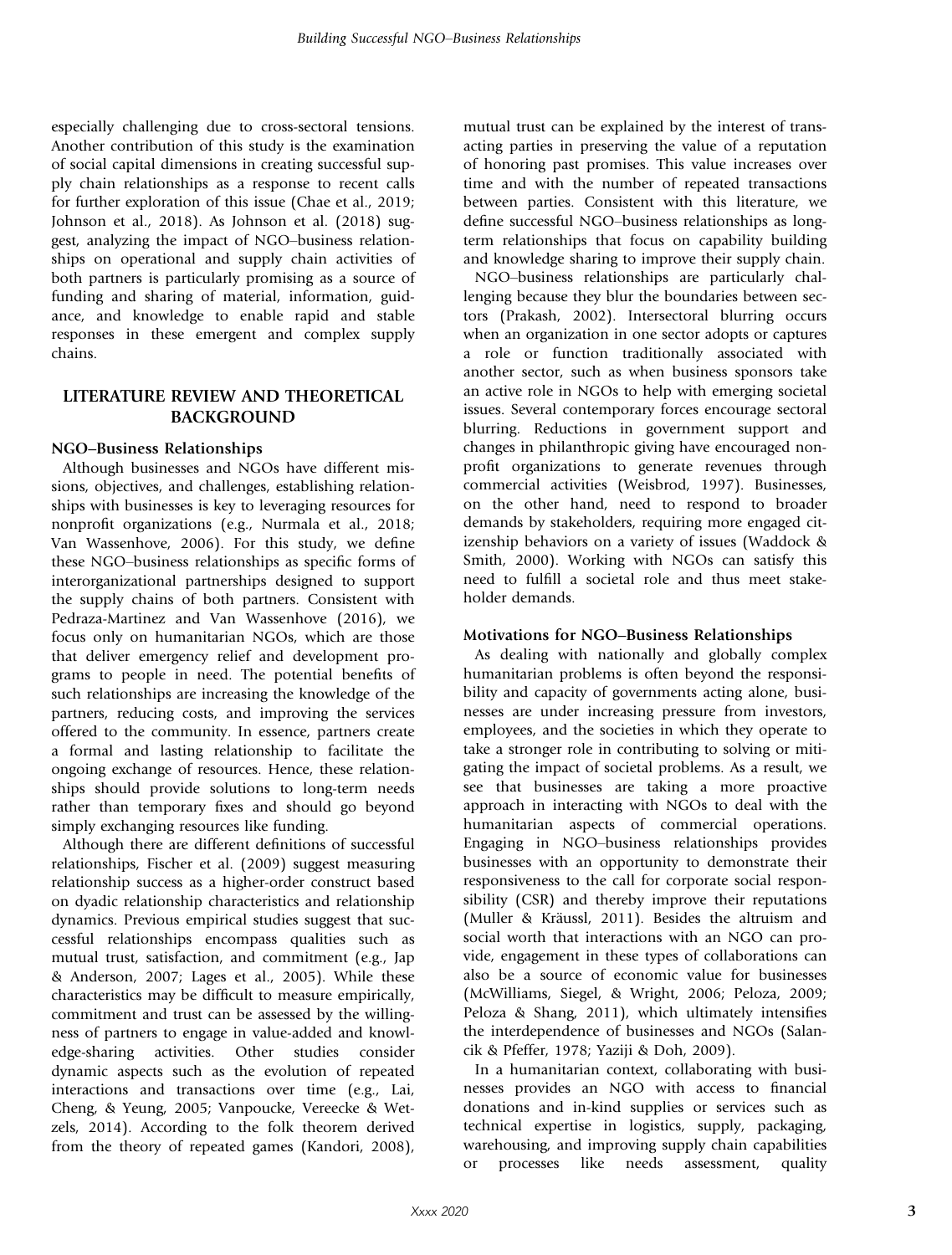especially challenging due to cross-sectoral tensions. Another contribution of this study is the examination of social capital dimensions in creating successful supply chain relationships as a response to recent calls for further exploration of this issue (Chae et al., 2019; Johnson et al., 2018). As Johnson et al. (2018) suggest, analyzing the impact of NGO–business relationships on operational and supply chain activities of both partners is particularly promising as a source of funding and sharing of material, information, guidance, and knowledge to enable rapid and stable responses in these emergent and complex supply chains.

# LITERATURE REVIEW AND THEORETICAL BACKGROUND

## NGO–Business Relationships

Although businesses and NGOs have different missions, objectives, and challenges, establishing relationships with businesses is key to leveraging resources for nonprofit organizations (e.g., Nurmala et al., 2018; Van Wassenhove, 2006). For this study, we define these NGO–business relationships as specific forms of interorganizational partnerships designed to support the supply chains of both partners. Consistent with Pedraza-Martinez and Van Wassenhove (2016), we focus only on humanitarian NGOs, which are those that deliver emergency relief and development programs to people in need. The potential benefits of such relationships are increasing the knowledge of the partners, reducing costs, and improving the services offered to the community. In essence, partners create a formal and lasting relationship to facilitate the ongoing exchange of resources. Hence, these relationships should provide solutions to long-term needs rather than temporary fixes and should go beyond simply exchanging resources like funding.

Although there are different definitions of successful relationships, Fischer et al. (2009) suggest measuring relationship success as a higher-order construct based on dyadic relationship characteristics and relationship dynamics. Previous empirical studies suggest that successful relationships encompass qualities such as mutual trust, satisfaction, and commitment (e.g., Jap & Anderson, 2007; Lages et al., 2005). While these characteristics may be difficult to measure empirically, commitment and trust can be assessed by the willingness of partners to engage in value-added and knowledge-sharing activities. Other studies consider dynamic aspects such as the evolution of repeated interactions and transactions over time (e.g., Lai, Cheng, & Yeung, 2005; Vanpoucke, Vereecke & Wetzels, 2014). According to the folk theorem derived from the theory of repeated games (Kandori, 2008),

mutual trust can be explained by the interest of transacting parties in preserving the value of a reputation of honoring past promises. This value increases over time and with the number of repeated transactions between parties. Consistent with this literature, we define successful NGO–business relationships as longterm relationships that focus on capability building and knowledge sharing to improve their supply chain.

NGO–business relationships are particularly challenging because they blur the boundaries between sectors (Prakash, 2002). Intersectoral blurring occurs when an organization in one sector adopts or captures a role or function traditionally associated with another sector, such as when business sponsors take an active role in NGOs to help with emerging societal issues. Several contemporary forces encourage sectoral blurring. Reductions in government support and changes in philanthropic giving have encouraged nonprofit organizations to generate revenues through commercial activities (Weisbrod, 1997). Businesses, on the other hand, need to respond to broader demands by stakeholders, requiring more engaged citizenship behaviors on a variety of issues (Waddock & Smith, 2000). Working with NGOs can satisfy this need to fulfill a societal role and thus meet stakeholder demands.

#### Motivations for NGO–Business Relationships

As dealing with nationally and globally complex humanitarian problems is often beyond the responsibility and capacity of governments acting alone, businesses are under increasing pressure from investors, employees, and the societies in which they operate to take a stronger role in contributing to solving or mitigating the impact of societal problems. As a result, we see that businesses are taking a more proactive approach in interacting with NGOs to deal with the humanitarian aspects of commercial operations. Engaging in NGO–business relationships provides businesses with an opportunity to demonstrate their responsiveness to the call for corporate social responsibility (CSR) and thereby improve their reputations (Muller & Kräussl, 2011). Besides the altruism and social worth that interactions with an NGO can provide, engagement in these types of collaborations can also be a source of economic value for businesses (McWilliams, Siegel, & Wright, 2006; Peloza, 2009; Peloza & Shang, 2011), which ultimately intensifies the interdependence of businesses and NGOs (Salancik & Pfeffer, 1978; Yaziji & Doh, 2009).

In a humanitarian context, collaborating with businesses provides an NGO with access to financial donations and in-kind supplies or services such as technical expertise in logistics, supply, packaging, warehousing, and improving supply chain capabilities or processes like needs assessment, quality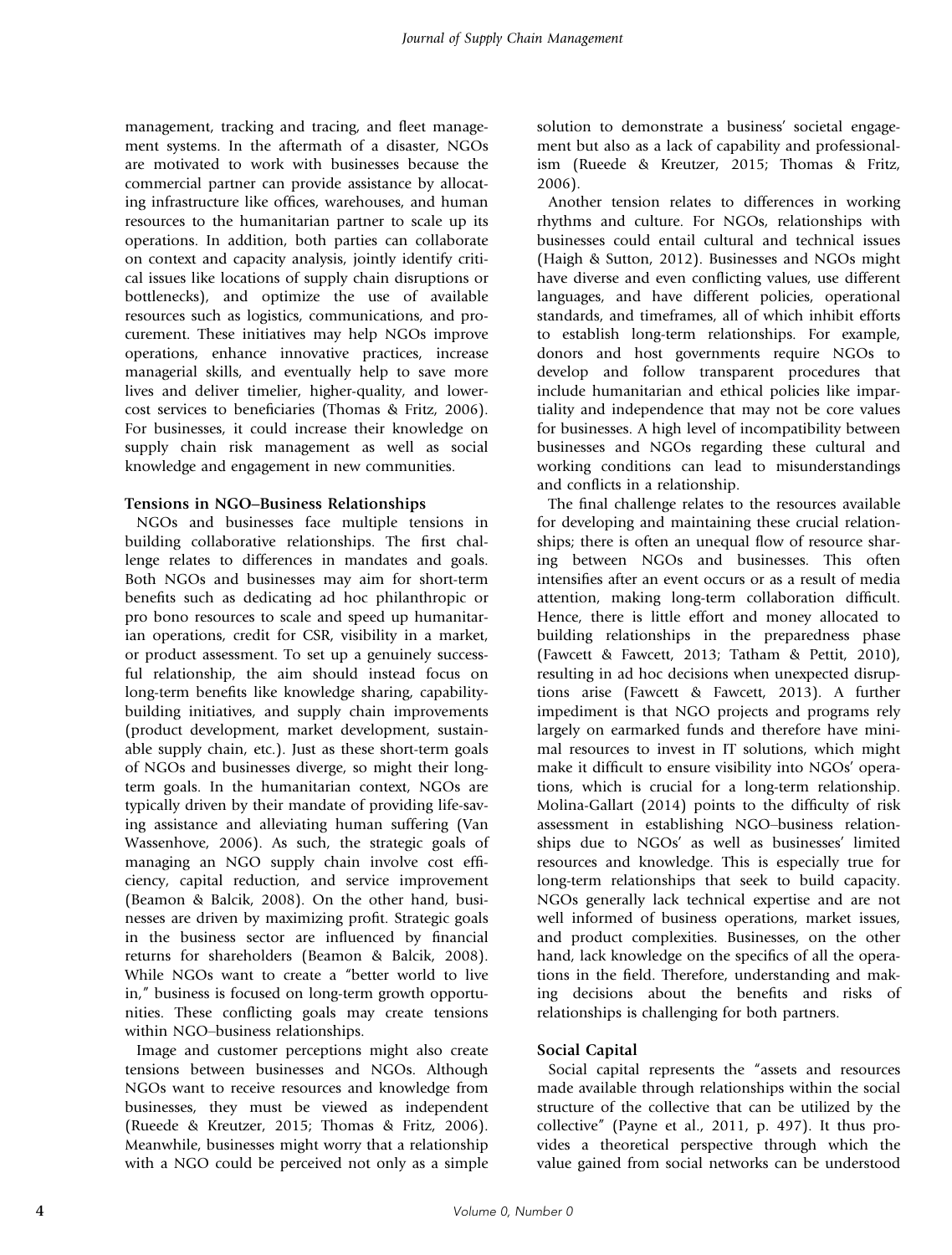management, tracking and tracing, and fleet management systems. In the aftermath of a disaster, NGOs are motivated to work with businesses because the commercial partner can provide assistance by allocating infrastructure like offices, warehouses, and human resources to the humanitarian partner to scale up its operations. In addition, both parties can collaborate on context and capacity analysis, jointly identify critical issues like locations of supply chain disruptions or bottlenecks), and optimize the use of available resources such as logistics, communications, and procurement. These initiatives may help NGOs improve operations, enhance innovative practices, increase managerial skills, and eventually help to save more lives and deliver timelier, higher-quality, and lowercost services to beneficiaries (Thomas & Fritz, 2006). For businesses, it could increase their knowledge on supply chain risk management as well as social knowledge and engagement in new communities.

#### Tensions in NGO–Business Relationships

NGOs and businesses face multiple tensions in building collaborative relationships. The first challenge relates to differences in mandates and goals. Both NGOs and businesses may aim for short-term benefits such as dedicating ad hoc philanthropic or pro bono resources to scale and speed up humanitarian operations, credit for CSR, visibility in a market, or product assessment. To set up a genuinely successful relationship, the aim should instead focus on long-term benefits like knowledge sharing, capabilitybuilding initiatives, and supply chain improvements (product development, market development, sustainable supply chain, etc.). Just as these short-term goals of NGOs and businesses diverge, so might their longterm goals. In the humanitarian context, NGOs are typically driven by their mandate of providing life-saving assistance and alleviating human suffering (Van Wassenhove, 2006). As such, the strategic goals of managing an NGO supply chain involve cost efficiency, capital reduction, and service improvement (Beamon & Balcik, 2008). On the other hand, businesses are driven by maximizing profit. Strategic goals in the business sector are influenced by financial returns for shareholders (Beamon & Balcik, 2008). While NGOs want to create a "better world to live in," business is focused on long-term growth opportunities. These conflicting goals may create tensions within NGO–business relationships.

Image and customer perceptions might also create tensions between businesses and NGOs. Although NGOs want to receive resources and knowledge from businesses, they must be viewed as independent (Rueede & Kreutzer, 2015; Thomas & Fritz, 2006). Meanwhile, businesses might worry that a relationship with a NGO could be perceived not only as a simple solution to demonstrate a business' societal engagement but also as a lack of capability and professionalism (Rueede & Kreutzer, 2015; Thomas & Fritz, 2006).

Another tension relates to differences in working rhythms and culture. For NGOs, relationships with businesses could entail cultural and technical issues (Haigh & Sutton, 2012). Businesses and NGOs might have diverse and even conflicting values, use different languages, and have different policies, operational standards, and timeframes, all of which inhibit efforts to establish long-term relationships. For example, donors and host governments require NGOs to develop and follow transparent procedures that include humanitarian and ethical policies like impartiality and independence that may not be core values for businesses. A high level of incompatibility between businesses and NGOs regarding these cultural and working conditions can lead to misunderstandings and conflicts in a relationship.

The final challenge relates to the resources available for developing and maintaining these crucial relationships; there is often an unequal flow of resource sharing between NGOs and businesses. This often intensifies after an event occurs or as a result of media attention, making long-term collaboration difficult. Hence, there is little effort and money allocated to building relationships in the preparedness phase (Fawcett & Fawcett, 2013; Tatham & Pettit, 2010), resulting in ad hoc decisions when unexpected disruptions arise (Fawcett & Fawcett, 2013). A further impediment is that NGO projects and programs rely largely on earmarked funds and therefore have minimal resources to invest in IT solutions, which might make it difficult to ensure visibility into NGOs' operations, which is crucial for a long-term relationship. Molina-Gallart (2014) points to the difficulty of risk assessment in establishing NGO–business relationships due to NGOs' as well as businesses' limited resources and knowledge. This is especially true for long-term relationships that seek to build capacity. NGOs generally lack technical expertise and are not well informed of business operations, market issues, and product complexities. Businesses, on the other hand, lack knowledge on the specifics of all the operations in the field. Therefore, understanding and making decisions about the benefits and risks of relationships is challenging for both partners.

## Social Capital

Social capital represents the "assets and resources made available through relationships within the social structure of the collective that can be utilized by the collective" (Payne et al., 2011, p. 497). It thus provides a theoretical perspective through which the value gained from social networks can be understood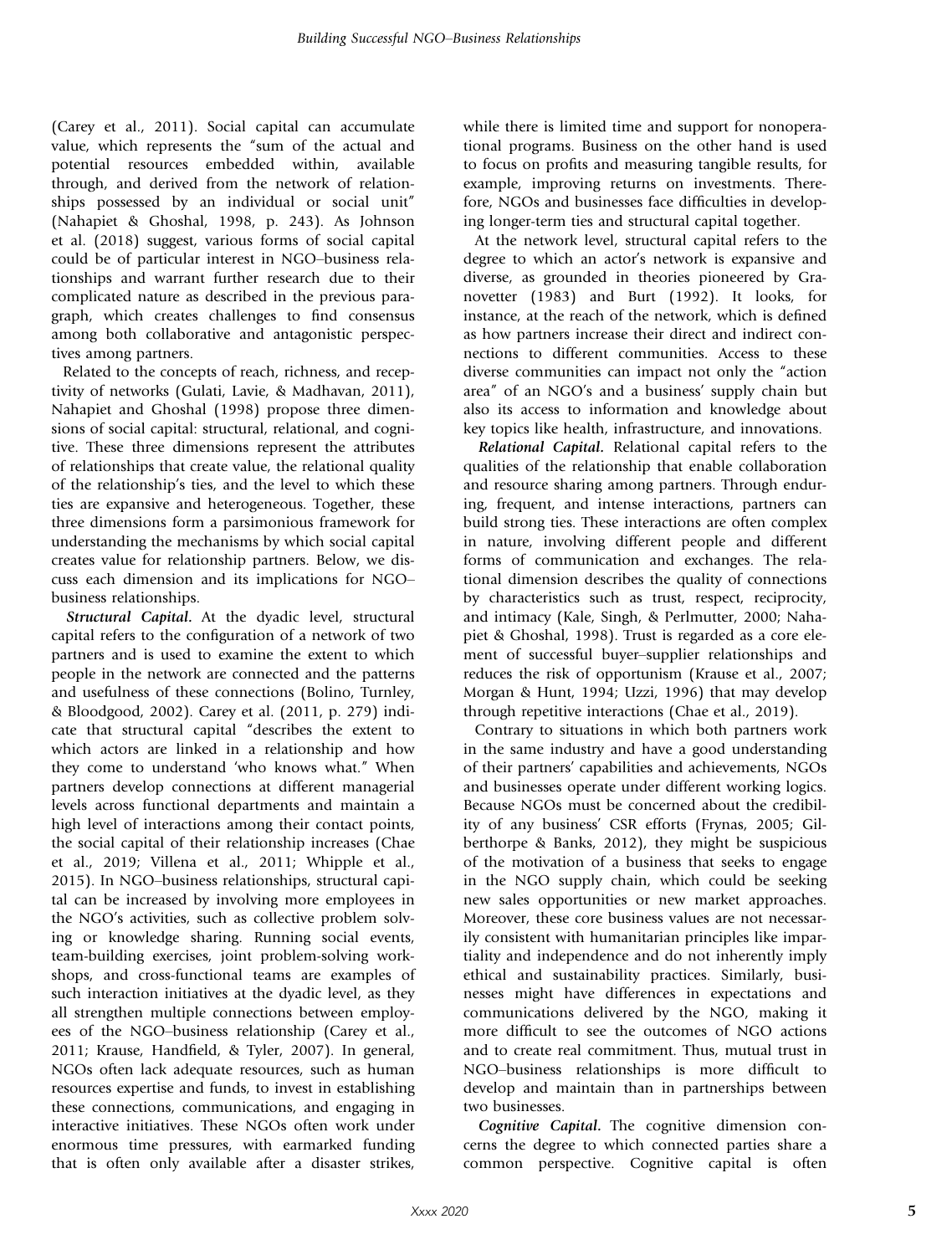(Carey et al., 2011). Social capital can accumulate value, which represents the "sum of the actual and potential resources embedded within, available through, and derived from the network of relationships possessed by an individual or social unit" (Nahapiet & Ghoshal, 1998, p. 243). As Johnson et al. (2018) suggest, various forms of social capital could be of particular interest in NGO–business relationships and warrant further research due to their complicated nature as described in the previous paragraph, which creates challenges to find consensus among both collaborative and antagonistic perspectives among partners.

Related to the concepts of reach, richness, and receptivity of networks (Gulati, Lavie, & Madhavan, 2011), Nahapiet and Ghoshal (1998) propose three dimensions of social capital: structural, relational, and cognitive. These three dimensions represent the attributes of relationships that create value, the relational quality of the relationship's ties, and the level to which these ties are expansive and heterogeneous. Together, these three dimensions form a parsimonious framework for understanding the mechanisms by which social capital creates value for relationship partners. Below, we discuss each dimension and its implications for NGO– business relationships.

*Structural Capital.* At the dyadic level, structural capital refers to the configuration of a network of two partners and is used to examine the extent to which people in the network are connected and the patterns and usefulness of these connections (Bolino, Turnley, & Bloodgood, 2002). Carey et al. (2011, p. 279) indicate that structural capital "describes the extent to which actors are linked in a relationship and how they come to understand 'who knows what." When partners develop connections at different managerial levels across functional departments and maintain a high level of interactions among their contact points, the social capital of their relationship increases (Chae et al., 2019; Villena et al., 2011; Whipple et al., 2015). In NGO–business relationships, structural capital can be increased by involving more employees in the NGO's activities, such as collective problem solving or knowledge sharing. Running social events, team-building exercises, joint problem-solving workshops, and cross-functional teams are examples of such interaction initiatives at the dyadic level, as they all strengthen multiple connections between employees of the NGO–business relationship (Carey et al., 2011; Krause, Handfield, & Tyler, 2007). In general, NGOs often lack adequate resources, such as human resources expertise and funds, to invest in establishing these connections, communications, and engaging in interactive initiatives. These NGOs often work under enormous time pressures, with earmarked funding that is often only available after a disaster strikes,

while there is limited time and support for nonoperational programs. Business on the other hand is used to focus on profits and measuring tangible results, for example, improving returns on investments. Therefore, NGOs and businesses face difficulties in developing longer-term ties and structural capital together.

At the network level, structural capital refers to the degree to which an actor's network is expansive and diverse, as grounded in theories pioneered by Granovetter (1983) and Burt (1992). It looks, for instance, at the reach of the network, which is defined as how partners increase their direct and indirect connections to different communities. Access to these diverse communities can impact not only the "action area" of an NGO's and a business' supply chain but also its access to information and knowledge about key topics like health, infrastructure, and innovations.

*Relational Capital.* Relational capital refers to the qualities of the relationship that enable collaboration and resource sharing among partners. Through enduring, frequent, and intense interactions, partners can build strong ties. These interactions are often complex in nature, involving different people and different forms of communication and exchanges. The relational dimension describes the quality of connections by characteristics such as trust, respect, reciprocity, and intimacy (Kale, Singh, & Perlmutter, 2000; Nahapiet & Ghoshal, 1998). Trust is regarded as a core element of successful buyer–supplier relationships and reduces the risk of opportunism (Krause et al., 2007; Morgan & Hunt, 1994; Uzzi, 1996) that may develop through repetitive interactions (Chae et al., 2019).

Contrary to situations in which both partners work in the same industry and have a good understanding of their partners' capabilities and achievements, NGOs and businesses operate under different working logics. Because NGOs must be concerned about the credibility of any business' CSR efforts (Frynas, 2005; Gilberthorpe & Banks, 2012), they might be suspicious of the motivation of a business that seeks to engage in the NGO supply chain, which could be seeking new sales opportunities or new market approaches. Moreover, these core business values are not necessarily consistent with humanitarian principles like impartiality and independence and do not inherently imply ethical and sustainability practices. Similarly, businesses might have differences in expectations and communications delivered by the NGO, making it more difficult to see the outcomes of NGO actions and to create real commitment. Thus, mutual trust in NGO–business relationships is more difficult to develop and maintain than in partnerships between two businesses.

*Cognitive Capital.* The cognitive dimension concerns the degree to which connected parties share a common perspective. Cognitive capital is often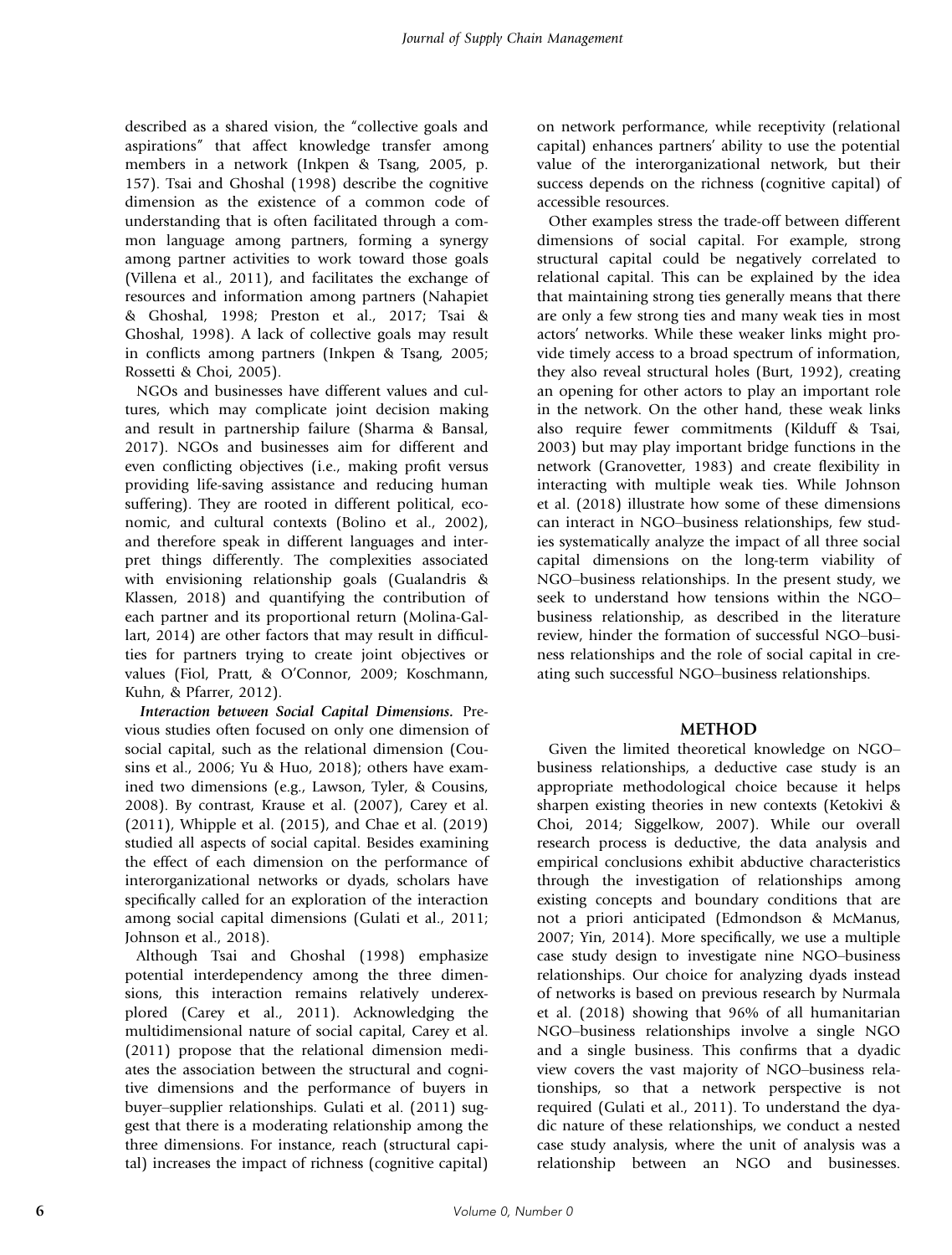described as a shared vision, the "collective goals and aspirations" that affect knowledge transfer among members in a network (Inkpen & Tsang, 2005, p. 157). Tsai and Ghoshal (1998) describe the cognitive dimension as the existence of a common code of understanding that is often facilitated through a common language among partners, forming a synergy among partner activities to work toward those goals (Villena et al., 2011), and facilitates the exchange of resources and information among partners (Nahapiet & Ghoshal, 1998; Preston et al., 2017; Tsai & Ghoshal, 1998). A lack of collective goals may result in conflicts among partners (Inkpen & Tsang, 2005; Rossetti & Choi, 2005).

NGOs and businesses have different values and cultures, which may complicate joint decision making and result in partnership failure (Sharma & Bansal, 2017). NGOs and businesses aim for different and even conflicting objectives (i.e., making profit versus providing life-saving assistance and reducing human suffering). They are rooted in different political, economic, and cultural contexts (Bolino et al., 2002), and therefore speak in different languages and interpret things differently. The complexities associated with envisioning relationship goals (Gualandris & Klassen, 2018) and quantifying the contribution of each partner and its proportional return (Molina-Gallart, 2014) are other factors that may result in difficulties for partners trying to create joint objectives or values (Fiol, Pratt, & O'Connor, 2009; Koschmann, Kuhn, & Pfarrer, 2012).

*Interaction between Social Capital Dimensions.* Previous studies often focused on only one dimension of social capital, such as the relational dimension (Cousins et al., 2006; Yu & Huo, 2018); others have examined two dimensions (e.g., Lawson, Tyler, & Cousins, 2008). By contrast, Krause et al. (2007), Carey et al. (2011), Whipple et al. (2015), and Chae et al. (2019) studied all aspects of social capital. Besides examining the effect of each dimension on the performance of interorganizational networks or dyads, scholars have specifically called for an exploration of the interaction among social capital dimensions (Gulati et al., 2011; Johnson et al., 2018).

Although Tsai and Ghoshal (1998) emphasize potential interdependency among the three dimensions, this interaction remains relatively underexplored (Carey et al., 2011). Acknowledging the multidimensional nature of social capital, Carey et al. (2011) propose that the relational dimension mediates the association between the structural and cognitive dimensions and the performance of buyers in buyer–supplier relationships. Gulati et al. (2011) suggest that there is a moderating relationship among the three dimensions. For instance, reach (structural capital) increases the impact of richness (cognitive capital) on network performance, while receptivity (relational capital) enhances partners' ability to use the potential value of the interorganizational network, but their success depends on the richness (cognitive capital) of accessible resources.

Other examples stress the trade-off between different dimensions of social capital. For example, strong structural capital could be negatively correlated to relational capital. This can be explained by the idea that maintaining strong ties generally means that there are only a few strong ties and many weak ties in most actors' networks. While these weaker links might provide timely access to a broad spectrum of information, they also reveal structural holes (Burt, 1992), creating an opening for other actors to play an important role in the network. On the other hand, these weak links also require fewer commitments (Kilduff & Tsai, 2003) but may play important bridge functions in the network (Granovetter, 1983) and create flexibility in interacting with multiple weak ties. While Johnson et al. (2018) illustrate how some of these dimensions can interact in NGO–business relationships, few studies systematically analyze the impact of all three social capital dimensions on the long-term viability of NGO–business relationships. In the present study, we seek to understand how tensions within the NGO– business relationship, as described in the literature review, hinder the formation of successful NGO–business relationships and the role of social capital in creating such successful NGO–business relationships.

## METHOD

Given the limited theoretical knowledge on NGO– business relationships, a deductive case study is an appropriate methodological choice because it helps sharpen existing theories in new contexts (Ketokivi & Choi, 2014; Siggelkow, 2007). While our overall research process is deductive, the data analysis and empirical conclusions exhibit abductive characteristics through the investigation of relationships among existing concepts and boundary conditions that are not a priori anticipated (Edmondson & McManus, 2007; Yin, 2014). More specifically, we use a multiple case study design to investigate nine NGO–business relationships. Our choice for analyzing dyads instead of networks is based on previous research by Nurmala et al. (2018) showing that 96% of all humanitarian NGO–business relationships involve a single NGO and a single business. This confirms that a dyadic view covers the vast majority of NGO–business relationships, so that a network perspective is not required (Gulati et al., 2011). To understand the dyadic nature of these relationships, we conduct a nested case study analysis, where the unit of analysis was a relationship between an NGO and businesses.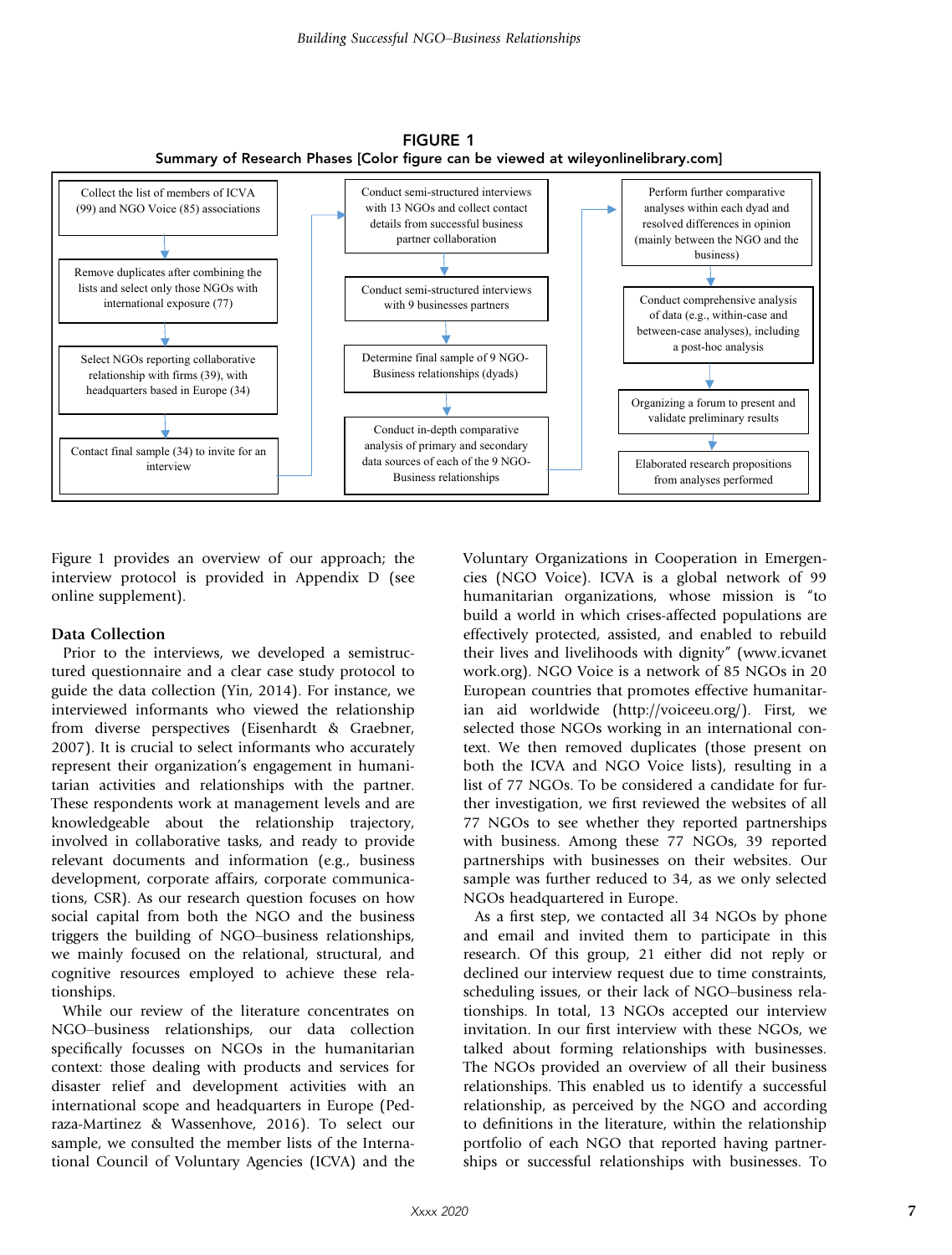

FIGURE 1

Figure 1 provides an overview of our approach; the interview protocol is provided in Appendix D (see online supplement).

#### Data Collection

Prior to the interviews, we developed a semistructured questionnaire and a clear case study protocol to guide the data collection (Yin, 2014). For instance, we interviewed informants who viewed the relationship from diverse perspectives (Eisenhardt & Graebner, 2007). It is crucial to select informants who accurately represent their organization's engagement in humanitarian activities and relationships with the partner. These respondents work at management levels and are knowledgeable about the relationship trajectory, involved in collaborative tasks, and ready to provide relevant documents and information (e.g., business development, corporate affairs, corporate communications, CSR). As our research question focuses on how social capital from both the NGO and the business triggers the building of NGO–business relationships, we mainly focused on the relational, structural, and cognitive resources employed to achieve these relationships.

While our review of the literature concentrates on NGO–business relationships, our data collection specifically focusses on NGOs in the humanitarian context: those dealing with products and services for disaster relief and development activities with an international scope and headquarters in Europe (Pedraza-Martinez & Wassenhove, 2016). To select our sample, we consulted the member lists of the International Council of Voluntary Agencies (ICVA) and the

Voluntary Organizations in Cooperation in Emergencies (NGO Voice). ICVA is a global network of 99 humanitarian organizations, whose mission is "to build a world in which crises-affected populations are effectively protected, assisted, and enabled to rebuild their lives and livelihoods with dignity" ([www.icvanet](http://www.icvanetwork.org) [work.org\)](http://www.icvanetwork.org). NGO Voice is a network of 85 NGOs in 20 European countries that promotes effective humanitarian aid worldwide ([http://voiceeu.org/\)](http://voiceeu.org/). First, we selected those NGOs working in an international context. We then removed duplicates (those present on both the ICVA and NGO Voice lists), resulting in a list of 77 NGOs. To be considered a candidate for further investigation, we first reviewed the websites of all 77 NGOs to see whether they reported partnerships with business. Among these 77 NGOs, 39 reported partnerships with businesses on their websites. Our sample was further reduced to 34, as we only selected NGOs headquartered in Europe.

As a first step, we contacted all 34 NGOs by phone and email and invited them to participate in this research. Of this group, 21 either did not reply or declined our interview request due to time constraints, scheduling issues, or their lack of NGO–business relationships. In total, 13 NGOs accepted our interview invitation. In our first interview with these NGOs, we talked about forming relationships with businesses. The NGOs provided an overview of all their business relationships. This enabled us to identify a successful relationship, as perceived by the NGO and according to definitions in the literature, within the relationship portfolio of each NGO that reported having partnerships or successful relationships with businesses. To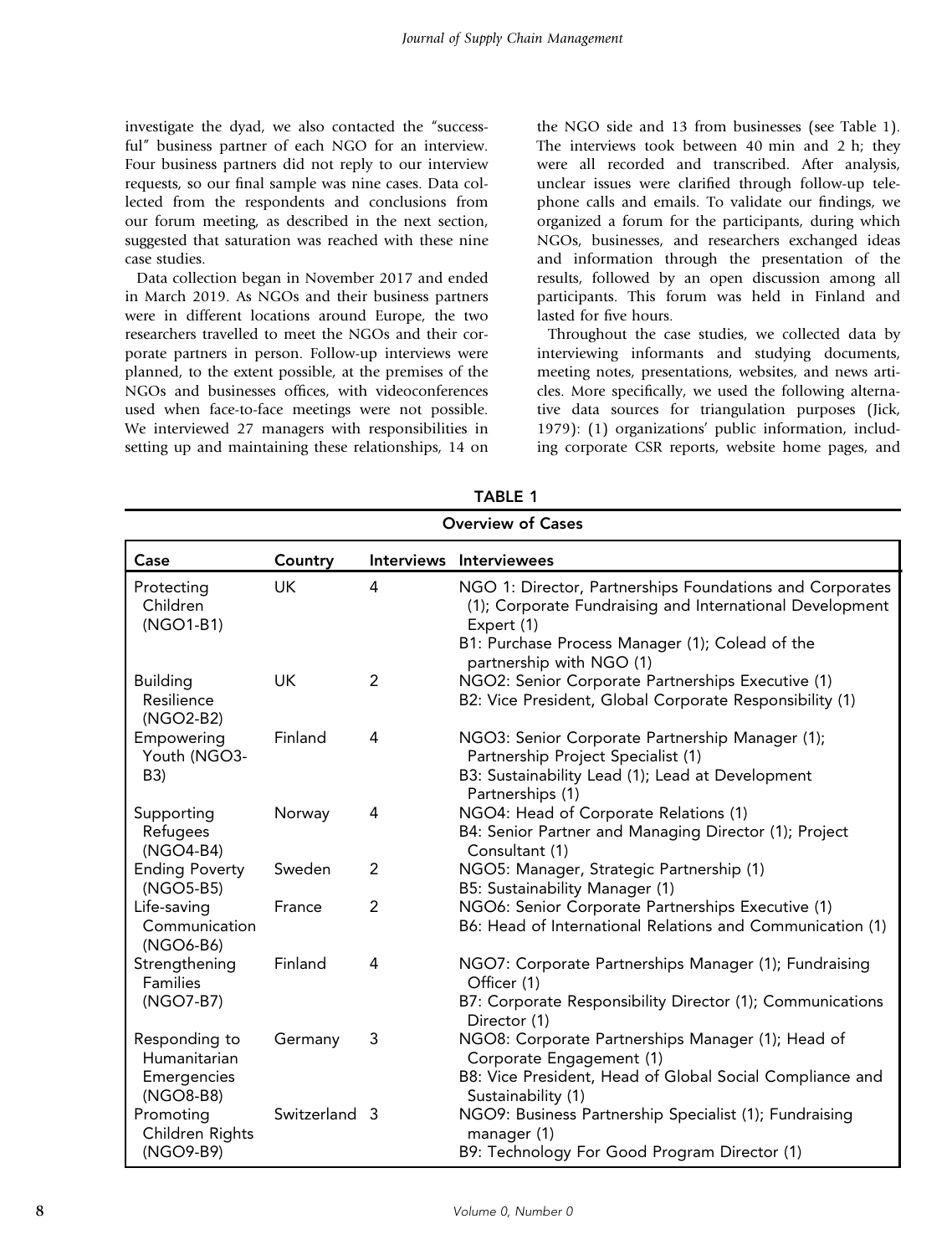investigate the dyad, we also contacted the "successful" business partner of each NGO for an interview. Four business partners did not reply to our interview requests, so our final sample was nine cases. Data collected from the respondents and conclusions from our forum meeting, as described in the next section, suggested that saturation was reached with these nine case studies.

Data collection began in November 2017 and ended in March 2019. As NGOs and their business partners were in different locations around Europe, the two researchers travelled to meet the NGOs and their corporate partners in person. Follow-up interviews were planned, to the extent possible, at the premises of the NGOs and businesses offices, with videoconferences used when face-to-face meetings were not possible. We interviewed 27 managers with responsibilities in setting up and maintaining these relationships, 14 on the NGO side and 13 from businesses (see Table 1). The interviews took between 40 min and 2 h; they were all recorded and transcribed. After analysis, unclear issues were clarified through follow-up telephone calls and emails. To validate our findings, we organized a forum for the participants, during which NGOs, businesses, and researchers exchanged ideas and information through the presentation of the results, followed by an open discussion among all participants. This forum was held in Finland and lasted for five hours.

Throughout the case studies, we collected data by interviewing informants and studying documents, meeting notes, presentations, websites, and news articles. More specifically, we used the following alternative data sources for triangulation purposes (Jick, 1979): (1) organizations' public information, including corporate CSR reports, website home pages, and

| <b>Overview of Cases</b>                  |               |                |                                                                                                                                                                                       |  |
|-------------------------------------------|---------------|----------------|---------------------------------------------------------------------------------------------------------------------------------------------------------------------------------------|--|
| Case                                      | Country       |                | Interviews Interviewees                                                                                                                                                               |  |
| Protecting<br>Children<br>(NGO1-B1)       | <b>UK</b>     | 4              | NGO 1: Director, Partnerships Foundations and Corporates<br>(1); Corporate Fundraising and International Development<br>Expert (1)<br>B1: Purchase Process Manager (1); Colead of the |  |
|                                           |               |                | partnership with NGO (1)                                                                                                                                                              |  |
| <b>Building</b>                           | UK            | $\overline{2}$ | NGO2: Senior Corporate Partnerships Executive (1)                                                                                                                                     |  |
| Resilience<br>(NGO2-B2)                   |               |                | B2: Vice President, Global Corporate Responsibility (1)                                                                                                                               |  |
| Empowering<br>Youth (NGO3-                | Finland       | 4              | NGO3: Senior Corporate Partnership Manager (1);<br>Partnership Project Specialist (1)                                                                                                 |  |
| B3)                                       |               |                | B3: Sustainability Lead (1); Lead at Development<br>Partnerships (1)                                                                                                                  |  |
| Supporting<br>Refugees<br>(NGO4-B4)       | Norway        | 4              | NGO4: Head of Corporate Relations (1)<br>B4: Senior Partner and Managing Director (1); Project<br>Consultant (1)                                                                      |  |
| <b>Ending Poverty</b><br>(NGO5-B5)        | Sweden        | $\overline{2}$ | NGO5: Manager, Strategic Partnership (1)<br>B5: Sustainability Manager (1)                                                                                                            |  |
| Life-saving<br>Communication<br>(NGO6-B6) | France        | $\overline{2}$ | NGO6: Senior Corporate Partnerships Executive (1)<br>B6: Head of International Relations and Communication (1)                                                                        |  |
| Strengthening<br>Families                 | Finland       | 4              | NGO7: Corporate Partnerships Manager (1); Fundraising<br>Officer (1)                                                                                                                  |  |
| (NGO7-B7)                                 |               |                | B7: Corporate Responsibility Director (1); Communications<br>Director (1)                                                                                                             |  |
| Responding to<br>Humanitarian             | Germany       | 3              | NGO8: Corporate Partnerships Manager (1); Head of<br>Corporate Engagement (1)                                                                                                         |  |
| Emergencies<br>(NGO8-B8)                  |               |                | B8: Vice President, Head of Global Social Compliance and<br>Sustainability (1)                                                                                                        |  |
| Promoting<br>Children Rights              | Switzerland 3 |                | NGO9: Business Partnership Specialist (1); Fundraising<br>manager (1)                                                                                                                 |  |
| (NGO9-B9)                                 |               |                | B9: Technology For Good Program Director (1)                                                                                                                                          |  |

| ч. |  |
|----|--|
| .  |  |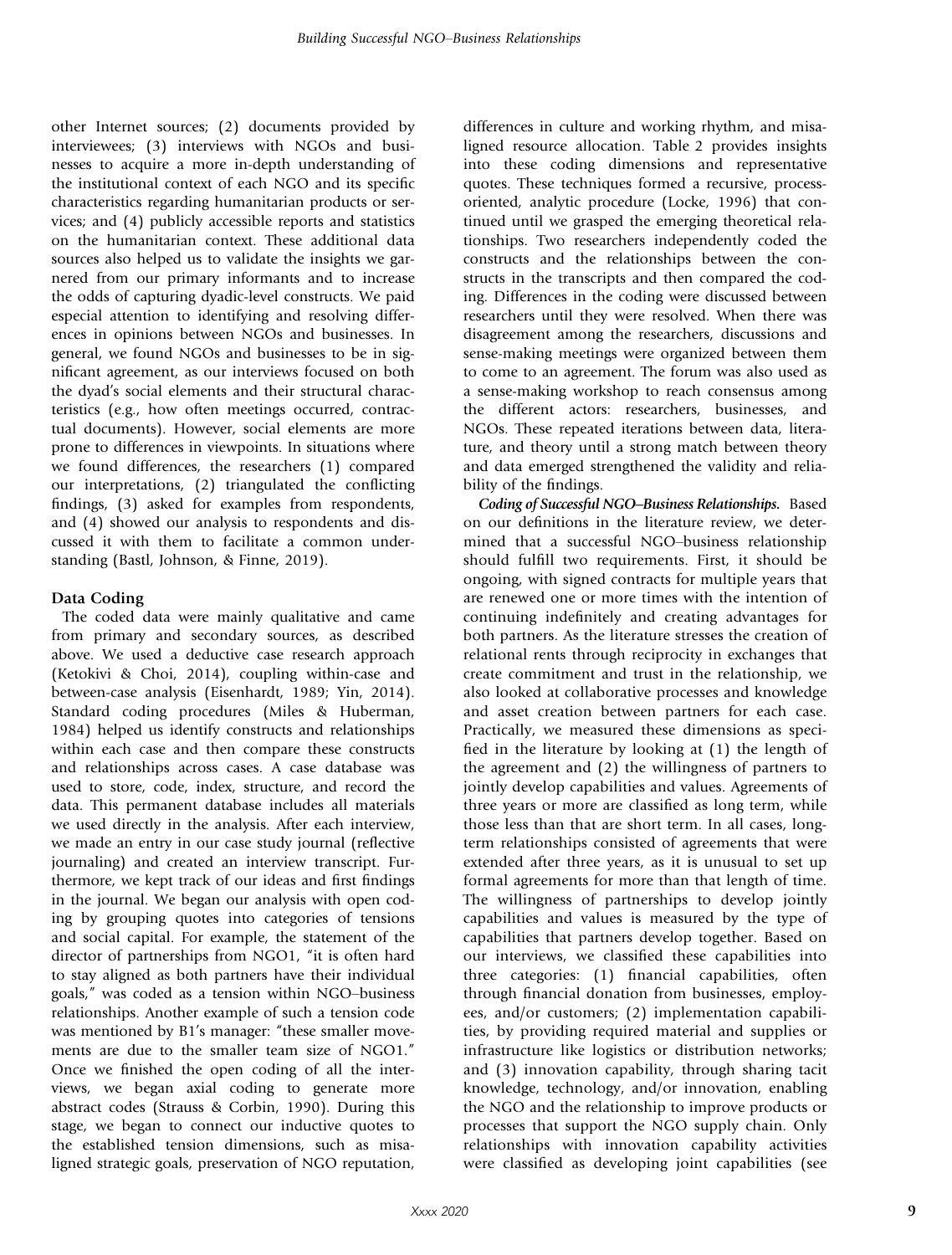other Internet sources; (2) documents provided by interviewees; (3) interviews with NGOs and businesses to acquire a more in-depth understanding of the institutional context of each NGO and its specific characteristics regarding humanitarian products or services; and (4) publicly accessible reports and statistics on the humanitarian context. These additional data sources also helped us to validate the insights we garnered from our primary informants and to increase the odds of capturing dyadic-level constructs. We paid especial attention to identifying and resolving differences in opinions between NGOs and businesses. In general, we found NGOs and businesses to be in significant agreement, as our interviews focused on both the dyad's social elements and their structural characteristics (e.g., how often meetings occurred, contractual documents). However, social elements are more prone to differences in viewpoints. In situations where we found differences, the researchers (1) compared our interpretations, (2) triangulated the conflicting findings, (3) asked for examples from respondents, and (4) showed our analysis to respondents and discussed it with them to facilitate a common understanding (Bastl, Johnson, & Finne, 2019).

# Data Coding

The coded data were mainly qualitative and came from primary and secondary sources, as described above. We used a deductive case research approach (Ketokivi & Choi, 2014), coupling within-case and between-case analysis (Eisenhardt, 1989; Yin, 2014). Standard coding procedures (Miles & Huberman, 1984) helped us identify constructs and relationships within each case and then compare these constructs and relationships across cases. A case database was used to store, code, index, structure, and record the data. This permanent database includes all materials we used directly in the analysis. After each interview, we made an entry in our case study journal (reflective journaling) and created an interview transcript. Furthermore, we kept track of our ideas and first findings in the journal. We began our analysis with open coding by grouping quotes into categories of tensions and social capital. For example, the statement of the director of partnerships from NGO1, "it is often hard to stay aligned as both partners have their individual goals," was coded as a tension within NGO–business relationships. Another example of such a tension code was mentioned by B1's manager: "these smaller movements are due to the smaller team size of NGO1." Once we finished the open coding of all the interviews, we began axial coding to generate more abstract codes (Strauss & Corbin, 1990). During this stage, we began to connect our inductive quotes to the established tension dimensions, such as misaligned strategic goals, preservation of NGO reputation,

differences in culture and working rhythm, and misaligned resource allocation. Table 2 provides insights into these coding dimensions and representative quotes. These techniques formed a recursive, processoriented, analytic procedure (Locke, 1996) that continued until we grasped the emerging theoretical relationships. Two researchers independently coded the constructs and the relationships between the constructs in the transcripts and then compared the coding. Differences in the coding were discussed between researchers until they were resolved. When there was disagreement among the researchers, discussions and sense-making meetings were organized between them to come to an agreement. The forum was also used as a sense-making workshop to reach consensus among the different actors: researchers, businesses, and NGOs. These repeated iterations between data, literature, and theory until a strong match between theory and data emerged strengthened the validity and reliability of the findings.

*Coding of Successful NGO*–*Business Relationships.* Based on our definitions in the literature review, we determined that a successful NGO–business relationship should fulfill two requirements. First, it should be ongoing, with signed contracts for multiple years that are renewed one or more times with the intention of continuing indefinitely and creating advantages for both partners. As the literature stresses the creation of relational rents through reciprocity in exchanges that create commitment and trust in the relationship, we also looked at collaborative processes and knowledge and asset creation between partners for each case. Practically, we measured these dimensions as specified in the literature by looking at (1) the length of the agreement and (2) the willingness of partners to jointly develop capabilities and values. Agreements of three years or more are classified as long term, while those less than that are short term. In all cases, longterm relationships consisted of agreements that were extended after three years, as it is unusual to set up formal agreements for more than that length of time. The willingness of partnerships to develop jointly capabilities and values is measured by the type of capabilities that partners develop together. Based on our interviews, we classified these capabilities into three categories: (1) financial capabilities, often through financial donation from businesses, employees, and/or customers; (2) implementation capabilities, by providing required material and supplies or infrastructure like logistics or distribution networks; and (3) innovation capability, through sharing tacit knowledge, technology, and/or innovation, enabling the NGO and the relationship to improve products or processes that support the NGO supply chain. Only relationships with innovation capability activities were classified as developing joint capabilities (see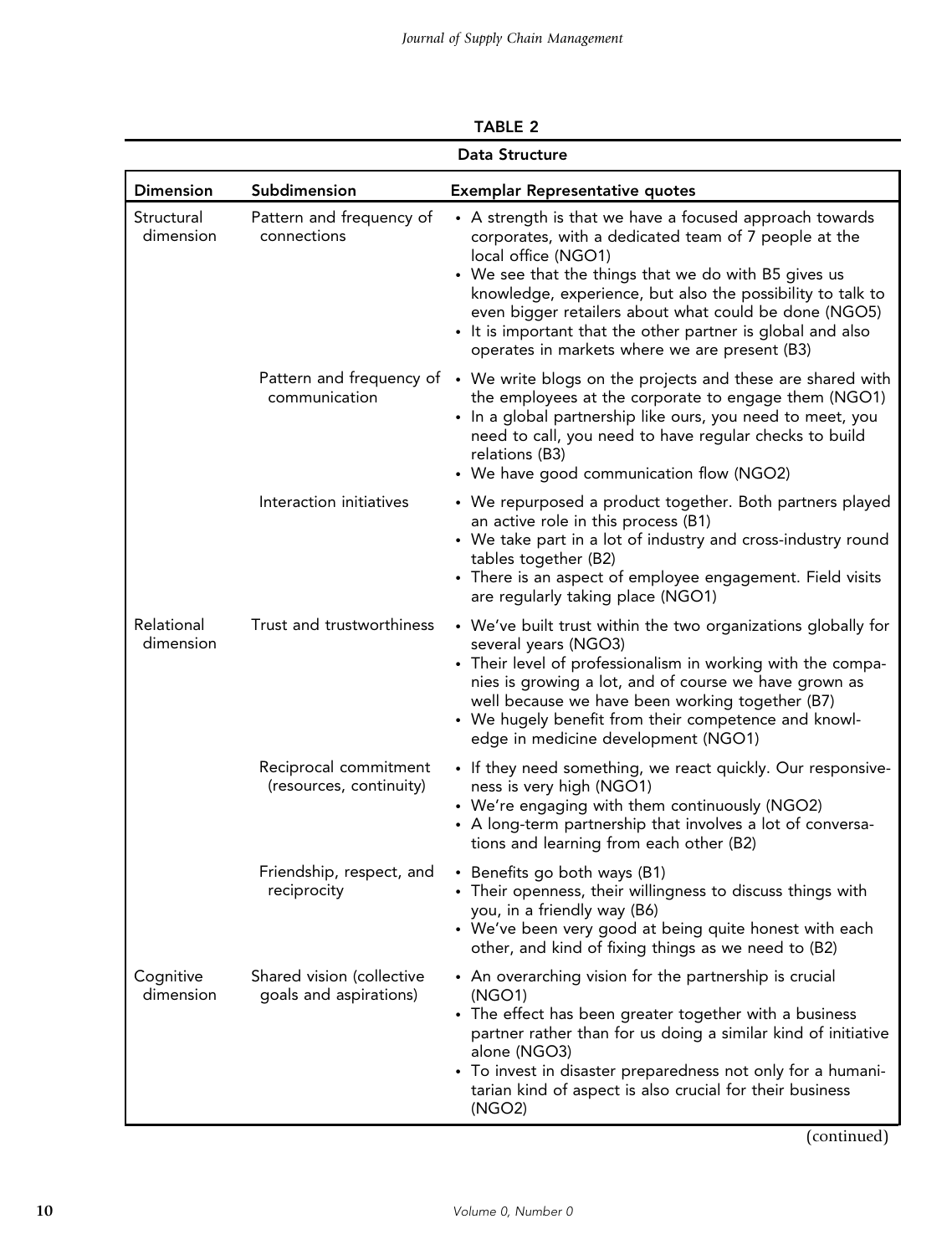|                         |                                                     | Data Structure                                                                                                                                                                                                                                                                                                                                                                                                                        |
|-------------------------|-----------------------------------------------------|---------------------------------------------------------------------------------------------------------------------------------------------------------------------------------------------------------------------------------------------------------------------------------------------------------------------------------------------------------------------------------------------------------------------------------------|
| <b>Dimension</b>        | Subdimension                                        | <b>Exemplar Representative quotes</b>                                                                                                                                                                                                                                                                                                                                                                                                 |
| Structural<br>dimension | Pattern and frequency of<br>connections             | • A strength is that we have a focused approach towards<br>corporates, with a dedicated team of 7 people at the<br>local office (NGO1)<br>• We see that the things that we do with B5 gives us<br>knowledge, experience, but also the possibility to talk to<br>even bigger retailers about what could be done (NGO5)<br>• It is important that the other partner is global and also<br>operates in markets where we are present (B3) |
|                         | communication                                       | Pattern and frequency of $\cdot$ We write blogs on the projects and these are shared with<br>the employees at the corporate to engage them (NGO1)<br>• In a global partnership like ours, you need to meet, you<br>need to call, you need to have regular checks to build<br>relations (B3)<br>• We have good communication flow (NGO2)                                                                                               |
|                         | Interaction initiatives                             | • We repurposed a product together. Both partners played<br>an active role in this process (B1)<br>• We take part in a lot of industry and cross-industry round<br>tables together (B2)<br>• There is an aspect of employee engagement. Field visits<br>are regularly taking place (NGO1)                                                                                                                                             |
| Relational<br>dimension | Trust and trustworthiness                           | • We've built trust within the two organizations globally for<br>several years (NGO3)<br>• Their level of professionalism in working with the compa-<br>nies is growing a lot, and of course we have grown as<br>well because we have been working together (B7)<br>• We hugely benefit from their competence and knowl-<br>edge in medicine development (NGO1)                                                                       |
|                         | Reciprocal commitment<br>(resources, continuity)    | • If they need something, we react quickly. Our responsive-<br>ness is very high (NGO1)<br>• We're engaging with them continuously (NGO2)<br>• A long-term partnership that involves a lot of conversa-<br>tions and learning from each other (B2)                                                                                                                                                                                    |
|                         | Friendship, respect, and<br>reciprocity             | • Benefits go both ways (B1)<br>• Their openness, their willingness to discuss things with<br>you, in a friendly way (B6)<br>• We've been very good at being quite honest with each<br>other, and kind of fixing things as we need to (B2)                                                                                                                                                                                            |
| Cognitive<br>dimension  | Shared vision (collective<br>goals and aspirations) | • An overarching vision for the partnership is crucial<br>(NGO1)<br>• The effect has been greater together with a business<br>partner rather than for us doing a similar kind of initiative<br>alone (NGO3)<br>• To invest in disaster preparedness not only for a humani-<br>tarian kind of aspect is also crucial for their business<br>(NGO2)                                                                                      |
|                         |                                                     | (continued)                                                                                                                                                                                                                                                                                                                                                                                                                           |

TABLE 2

(continued)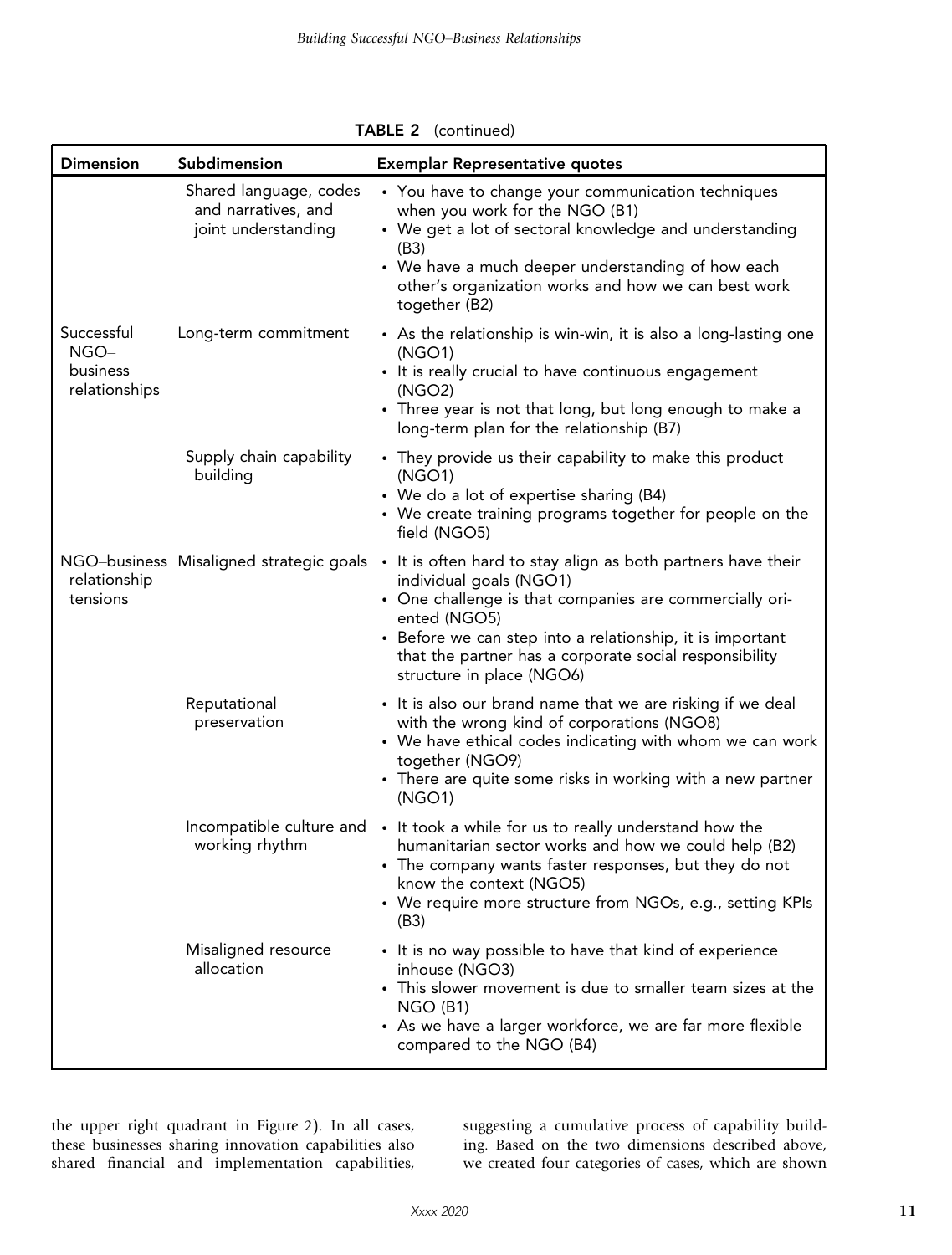|                                                 |                                                                      | TABLE 2 (continued)                                                                                                                                                                                                                                                                                                                                            |
|-------------------------------------------------|----------------------------------------------------------------------|----------------------------------------------------------------------------------------------------------------------------------------------------------------------------------------------------------------------------------------------------------------------------------------------------------------------------------------------------------------|
| <b>Dimension</b>                                | Subdimension                                                         | <b>Exemplar Representative quotes</b>                                                                                                                                                                                                                                                                                                                          |
|                                                 | Shared language, codes<br>and narratives, and<br>joint understanding | • You have to change your communication techniques<br>when you work for the NGO (B1)<br>• We get a lot of sectoral knowledge and understanding<br>(B3)<br>• We have a much deeper understanding of how each<br>other's organization works and how we can best work<br>together (B2)                                                                            |
| Successful<br>NGO-<br>business<br>relationships | Long-term commitment                                                 | • As the relationship is win-win, it is also a long-lasting one<br>(NGO1)<br>• It is really crucial to have continuous engagement<br>(NGO2)<br>• Three year is not that long, but long enough to make a<br>long-term plan for the relationship (B7)                                                                                                            |
|                                                 | Supply chain capability<br>building                                  | • They provide us their capability to make this product<br>(NGO1)<br>• We do a lot of expertise sharing (B4)<br>• We create training programs together for people on the<br>field (NGO5)                                                                                                                                                                       |
| relationship<br>tensions                        |                                                                      | NGO-business Misaligned strategic goals • It is often hard to stay align as both partners have their<br>individual goals (NGO1)<br>• One challenge is that companies are commercially ori-<br>ented (NGO5)<br>• Before we can step into a relationship, it is important<br>that the partner has a corporate social responsibility<br>structure in place (NGO6) |
|                                                 | Reputational<br>preservation                                         | • It is also our brand name that we are risking if we deal<br>with the wrong kind of corporations (NGO8)<br>• We have ethical codes indicating with whom we can work<br>together (NGO9)<br>• There are quite some risks in working with a new partner<br>(NGO1)                                                                                                |
|                                                 | working rhythm                                                       | Incompatible culture and • It took a while for us to really understand how the<br>humanitarian sector works and how we could help (B2)<br>• The company wants faster responses, but they do not<br>know the context (NGO5)<br>• We require more structure from NGOs, e.g., setting KPIs<br>(B3)                                                                |
|                                                 | Misaligned resource<br>allocation                                    | • It is no way possible to have that kind of experience<br>inhouse (NGO3)<br>• This slower movement is due to smaller team sizes at the<br>$NGO$ (B1)<br>• As we have a larger workforce, we are far more flexible<br>compared to the NGO (B4)                                                                                                                 |

the upper right quadrant in Figure 2). In all cases, these businesses sharing innovation capabilities also shared financial and implementation capabilities,

suggesting a cumulative process of capability building. Based on the two dimensions described above, we created four categories of cases, which are shown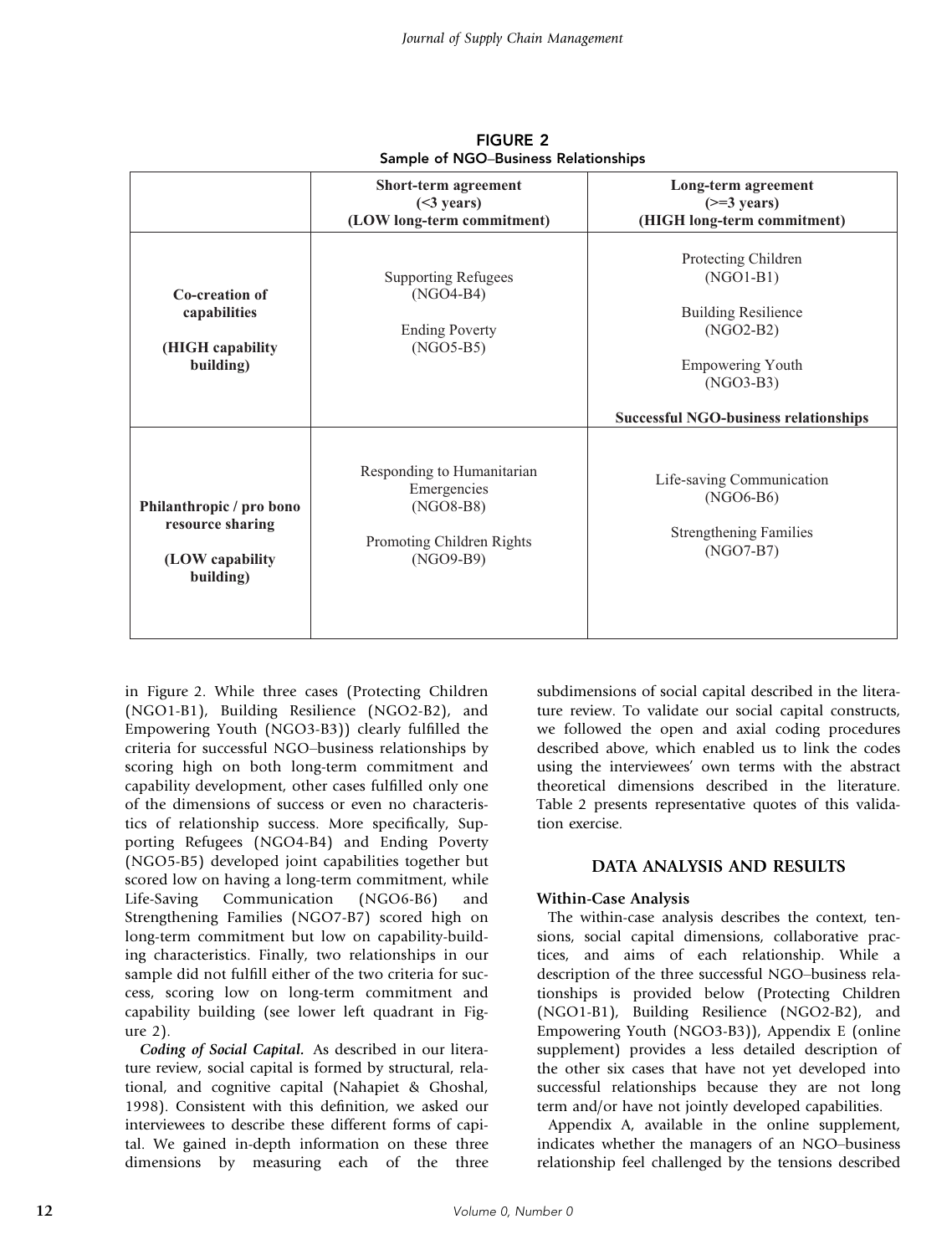|                                                                              | Short-term agreement<br>$(\leq 3$ years)<br>(LOW long-term commitment)                             | Long-term agreement<br>$(>=3 \text{ years})$<br>(HIGH long-term commitment)                                                              |
|------------------------------------------------------------------------------|----------------------------------------------------------------------------------------------------|------------------------------------------------------------------------------------------------------------------------------------------|
| Co-creation of<br>capabilities<br>(HIGH capability<br>building)              | <b>Supporting Refugees</b><br>$(NGO4-B4)$<br><b>Ending Poverty</b><br>$(NGO5-B5)$                  | Protecting Children<br>$(NGO1-B1)$<br><b>Building Resilience</b><br>$(NGO2-B2)$<br><b>Empowering Youth</b><br>(NGO3-B3)                  |
| Philanthropic / pro bono<br>resource sharing<br>(LOW capability<br>building) | Responding to Humanitarian<br>Emergencies<br>$(NGO8-B8)$<br>Promoting Children Rights<br>(NGO9-B9) | <b>Successful NGO-business relationships</b><br>Life-saving Communication<br>$(NGO6-B6)$<br><b>Strengthening Families</b><br>$(NGO7-B7)$ |

FIGURE 2 Sample of NGO–Business Relationships

in Figure 2. While three cases (Protecting Children (NGO1-B1), Building Resilience (NGO2-B2), and Empowering Youth (NGO3-B3)) clearly fulfilled the criteria for successful NGO–business relationships by scoring high on both long-term commitment and capability development, other cases fulfilled only one of the dimensions of success or even no characteristics of relationship success. More specifically, Supporting Refugees (NGO4-B4) and Ending Poverty (NGO5-B5) developed joint capabilities together but scored low on having a long-term commitment, while Life-Saving Communication (NGO6-B6) and Strengthening Families (NGO7-B7) scored high on long-term commitment but low on capability-building characteristics. Finally, two relationships in our sample did not fulfill either of the two criteria for success, scoring low on long-term commitment and capability building (see lower left quadrant in Figure 2).

*Coding of Social Capital.* As described in our literature review, social capital is formed by structural, relational, and cognitive capital (Nahapiet & Ghoshal, 1998). Consistent with this definition, we asked our interviewees to describe these different forms of capital. We gained in-depth information on these three dimensions by measuring each of the three subdimensions of social capital described in the literature review. To validate our social capital constructs, we followed the open and axial coding procedures described above, which enabled us to link the codes using the interviewees' own terms with the abstract theoretical dimensions described in the literature. Table 2 presents representative quotes of this validation exercise.

## DATA ANALYSIS AND RESULTS

## Within-Case Analysis

The within-case analysis describes the context, tensions, social capital dimensions, collaborative practices, and aims of each relationship. While a description of the three successful NGO–business relationships is provided below (Protecting Children (NGO1-B1), Building Resilience (NGO2-B2), and Empowering Youth (NGO3-B3)), Appendix E (online supplement) provides a less detailed description of the other six cases that have not yet developed into successful relationships because they are not long term and/or have not jointly developed capabilities.

Appendix A, available in the online supplement, indicates whether the managers of an NGO–business relationship feel challenged by the tensions described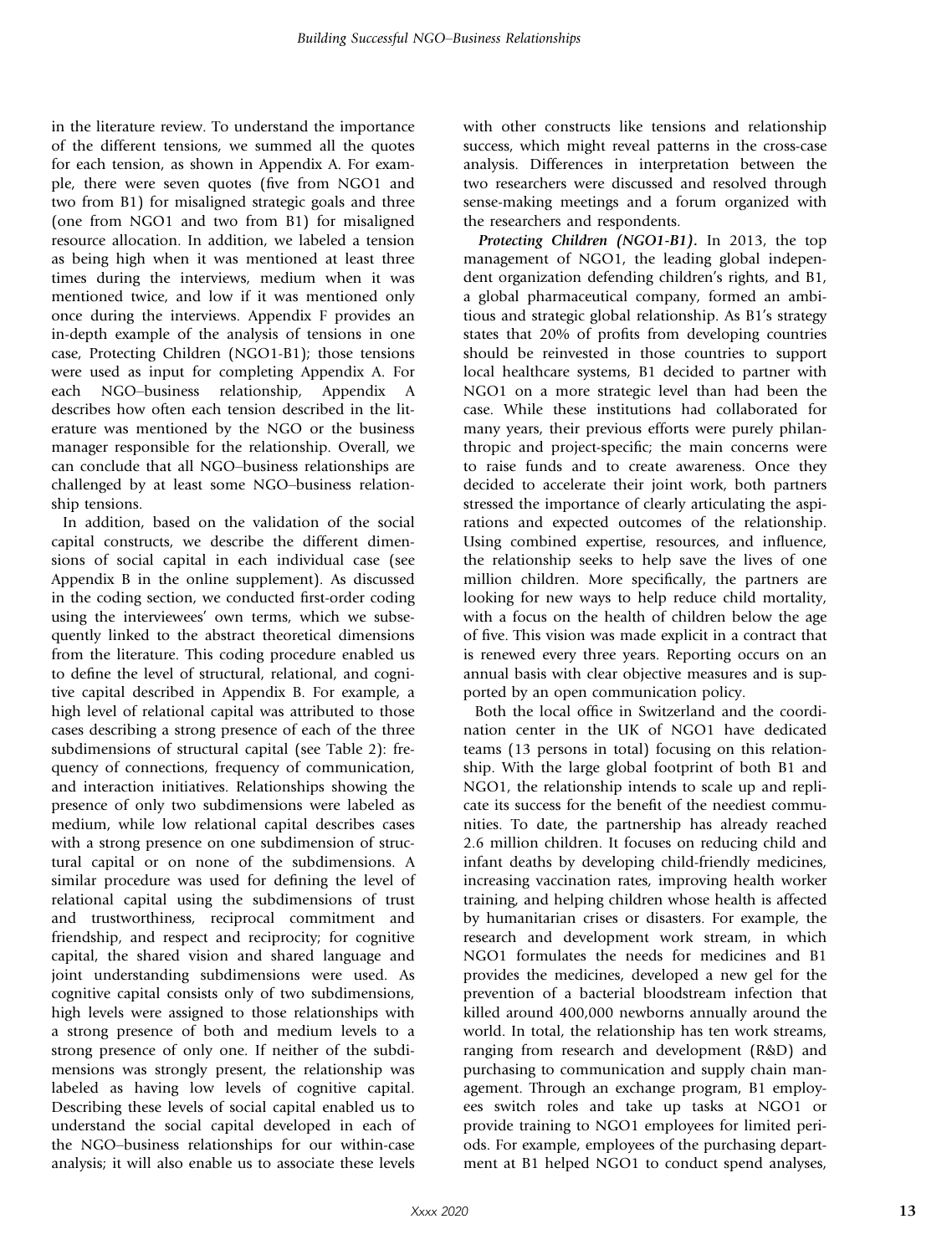in the literature review. To understand the importance of the different tensions, we summed all the quotes for each tension, as shown in Appendix A. For example, there were seven quotes (five from NGO1 and two from B1) for misaligned strategic goals and three (one from NGO1 and two from B1) for misaligned resource allocation. In addition, we labeled a tension as being high when it was mentioned at least three times during the interviews, medium when it was mentioned twice, and low if it was mentioned only once during the interviews. Appendix F provides an in-depth example of the analysis of tensions in one case, Protecting Children (NGO1-B1); those tensions were used as input for completing Appendix A. For each NGO–business relationship, Appendix A describes how often each tension described in the literature was mentioned by the NGO or the business manager responsible for the relationship. Overall, we can conclude that all NGO–business relationships are challenged by at least some NGO–business relationship tensions.

In addition, based on the validation of the social capital constructs, we describe the different dimensions of social capital in each individual case (see Appendix B in the online supplement). As discussed in the coding section, we conducted first-order coding using the interviewees' own terms, which we subsequently linked to the abstract theoretical dimensions from the literature. This coding procedure enabled us to define the level of structural, relational, and cognitive capital described in Appendix B. For example, a high level of relational capital was attributed to those cases describing a strong presence of each of the three subdimensions of structural capital (see Table 2): frequency of connections, frequency of communication, and interaction initiatives. Relationships showing the presence of only two subdimensions were labeled as medium, while low relational capital describes cases with a strong presence on one subdimension of structural capital or on none of the subdimensions. A similar procedure was used for defining the level of relational capital using the subdimensions of trust and trustworthiness, reciprocal commitment and friendship, and respect and reciprocity; for cognitive capital, the shared vision and shared language and joint understanding subdimensions were used. As cognitive capital consists only of two subdimensions, high levels were assigned to those relationships with a strong presence of both and medium levels to a strong presence of only one. If neither of the subdimensions was strongly present, the relationship was labeled as having low levels of cognitive capital. Describing these levels of social capital enabled us to understand the social capital developed in each of the NGO–business relationships for our within-case analysis; it will also enable us to associate these levels

with other constructs like tensions and relationship success, which might reveal patterns in the cross-case analysis. Differences in interpretation between the two researchers were discussed and resolved through sense-making meetings and a forum organized with the researchers and respondents.

*Protecting Children (NGO1-B1).* In 2013, the top management of NGO1, the leading global independent organization defending children's rights, and B1, a global pharmaceutical company, formed an ambitious and strategic global relationship. As B1's strategy states that 20% of profits from developing countries should be reinvested in those countries to support local healthcare systems, B1 decided to partner with NGO1 on a more strategic level than had been the case. While these institutions had collaborated for many years, their previous efforts were purely philanthropic and project-specific; the main concerns were to raise funds and to create awareness. Once they decided to accelerate their joint work, both partners stressed the importance of clearly articulating the aspirations and expected outcomes of the relationship. Using combined expertise, resources, and influence, the relationship seeks to help save the lives of one million children. More specifically, the partners are looking for new ways to help reduce child mortality, with a focus on the health of children below the age of five. This vision was made explicit in a contract that is renewed every three years. Reporting occurs on an annual basis with clear objective measures and is supported by an open communication policy.

Both the local office in Switzerland and the coordination center in the UK of NGO1 have dedicated teams (13 persons in total) focusing on this relationship. With the large global footprint of both B1 and NGO1, the relationship intends to scale up and replicate its success for the benefit of the neediest communities. To date, the partnership has already reached 2.6 million children. It focuses on reducing child and infant deaths by developing child-friendly medicines, increasing vaccination rates, improving health worker training, and helping children whose health is affected by humanitarian crises or disasters. For example, the research and development work stream, in which NGO1 formulates the needs for medicines and B1 provides the medicines, developed a new gel for the prevention of a bacterial bloodstream infection that killed around 400,000 newborns annually around the world. In total, the relationship has ten work streams, ranging from research and development (R&D) and purchasing to communication and supply chain management. Through an exchange program, B1 employees switch roles and take up tasks at NGO1 or provide training to NGO1 employees for limited periods. For example, employees of the purchasing department at B1 helped NGO1 to conduct spend analyses,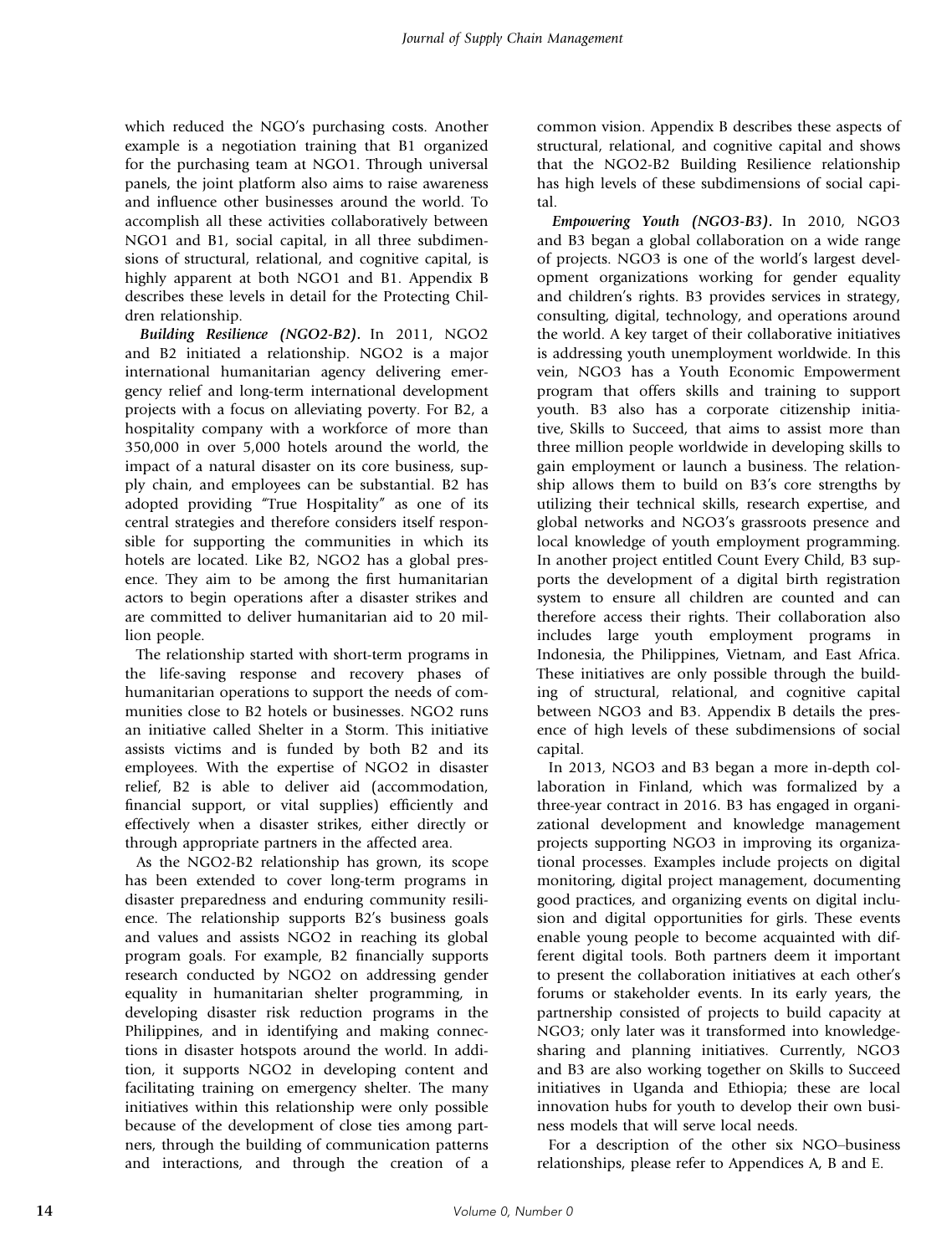which reduced the NGO's purchasing costs. Another example is a negotiation training that B1 organized for the purchasing team at NGO1. Through universal panels, the joint platform also aims to raise awareness and influence other businesses around the world. To accomplish all these activities collaboratively between NGO1 and B1, social capital, in all three subdimensions of structural, relational, and cognitive capital, is highly apparent at both NGO1 and B1. Appendix B describes these levels in detail for the Protecting Children relationship.

*Building Resilience (NGO2-B2).* In 2011, NGO2 and B2 initiated a relationship. NGO2 is a major international humanitarian agency delivering emergency relief and long-term international development projects with a focus on alleviating poverty. For B2, a hospitality company with a workforce of more than 350,000 in over 5,000 hotels around the world, the impact of a natural disaster on its core business, supply chain, and employees can be substantial. B2 has adopted providing "True Hospitality" as one of its central strategies and therefore considers itself responsible for supporting the communities in which its hotels are located. Like B2, NGO2 has a global presence. They aim to be among the first humanitarian actors to begin operations after a disaster strikes and are committed to deliver humanitarian aid to 20 million people.

The relationship started with short-term programs in the life-saving response and recovery phases of humanitarian operations to support the needs of communities close to B2 hotels or businesses. NGO2 runs an initiative called Shelter in a Storm. This initiative assists victims and is funded by both B2 and its employees. With the expertise of NGO2 in disaster relief, B2 is able to deliver aid (accommodation, financial support, or vital supplies) efficiently and effectively when a disaster strikes, either directly or through appropriate partners in the affected area.

As the NGO2-B2 relationship has grown, its scope has been extended to cover long-term programs in disaster preparedness and enduring community resilience. The relationship supports B2's business goals and values and assists NGO2 in reaching its global program goals. For example, B2 financially supports research conducted by NGO2 on addressing gender equality in humanitarian shelter programming, in developing disaster risk reduction programs in the Philippines, and in identifying and making connections in disaster hotspots around the world. In addition, it supports NGO2 in developing content and facilitating training on emergency shelter. The many initiatives within this relationship were only possible because of the development of close ties among partners, through the building of communication patterns and interactions, and through the creation of a common vision. Appendix B describes these aspects of structural, relational, and cognitive capital and shows that the NGO2-B2 Building Resilience relationship has high levels of these subdimensions of social capital.

*Empowering Youth (NGO3-B3).* In 2010, NGO3 and B3 began a global collaboration on a wide range of projects. NGO3 is one of the world's largest development organizations working for gender equality and children's rights. B3 provides services in strategy, consulting, digital, technology, and operations around the world. A key target of their collaborative initiatives is addressing youth unemployment worldwide. In this vein, NGO3 has a Youth Economic Empowerment program that offers skills and training to support youth. B3 also has a corporate citizenship initiative, Skills to Succeed, that aims to assist more than three million people worldwide in developing skills to gain employment or launch a business. The relationship allows them to build on B3's core strengths by utilizing their technical skills, research expertise, and global networks and NGO3's grassroots presence and local knowledge of youth employment programming. In another project entitled Count Every Child, B3 supports the development of a digital birth registration system to ensure all children are counted and can therefore access their rights. Their collaboration also includes large youth employment programs in Indonesia, the Philippines, Vietnam, and East Africa. These initiatives are only possible through the building of structural, relational, and cognitive capital between NGO3 and B3. Appendix B details the presence of high levels of these subdimensions of social capital.

In 2013, NGO3 and B3 began a more in-depth collaboration in Finland, which was formalized by a three-year contract in 2016. B3 has engaged in organizational development and knowledge management projects supporting NGO3 in improving its organizational processes. Examples include projects on digital monitoring, digital project management, documenting good practices, and organizing events on digital inclusion and digital opportunities for girls. These events enable young people to become acquainted with different digital tools. Both partners deem it important to present the collaboration initiatives at each other's forums or stakeholder events. In its early years, the partnership consisted of projects to build capacity at NGO3; only later was it transformed into knowledgesharing and planning initiatives. Currently, NGO3 and B3 are also working together on Skills to Succeed initiatives in Uganda and Ethiopia; these are local innovation hubs for youth to develop their own business models that will serve local needs.

For a description of the other six NGO–business relationships, please refer to Appendices A, B and E.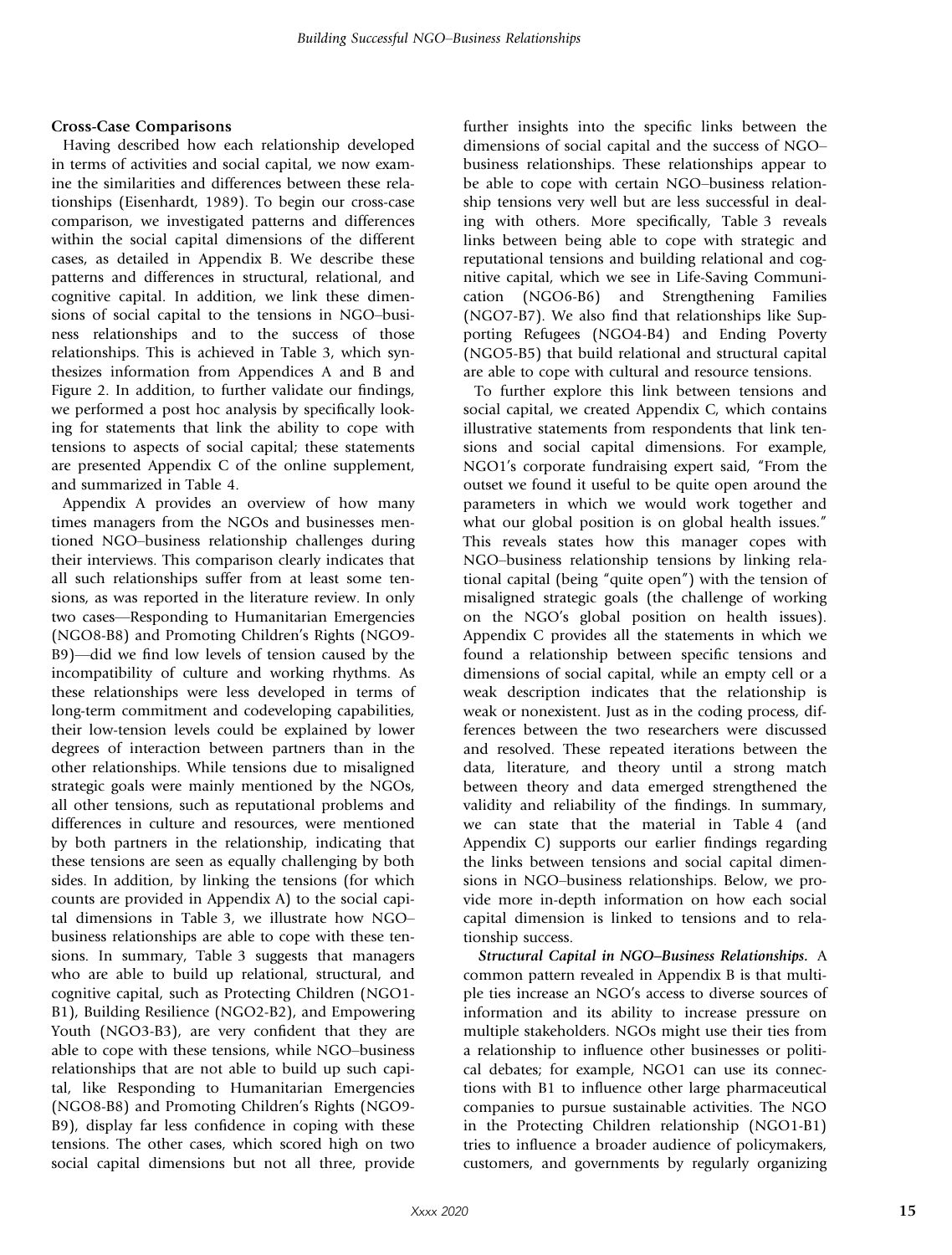#### Cross-Case Comparisons

Having described how each relationship developed in terms of activities and social capital, we now examine the similarities and differences between these relationships (Eisenhardt, 1989). To begin our cross-case comparison, we investigated patterns and differences within the social capital dimensions of the different cases, as detailed in Appendix B. We describe these patterns and differences in structural, relational, and cognitive capital. In addition, we link these dimensions of social capital to the tensions in NGO–business relationships and to the success of those relationships. This is achieved in Table 3, which synthesizes information from Appendices A and B and Figure 2. In addition, to further validate our findings, we performed a post hoc analysis by specifically looking for statements that link the ability to cope with tensions to aspects of social capital; these statements are presented Appendix C of the online supplement, and summarized in Table 4.

Appendix A provides an overview of how many times managers from the NGOs and businesses mentioned NGO–business relationship challenges during their interviews. This comparison clearly indicates that all such relationships suffer from at least some tensions, as was reported in the literature review. In only two cases—Responding to Humanitarian Emergencies (NGO8-B8) and Promoting Children's Rights (NGO9- B9)—did we find low levels of tension caused by the incompatibility of culture and working rhythms. As these relationships were less developed in terms of long-term commitment and codeveloping capabilities, their low-tension levels could be explained by lower degrees of interaction between partners than in the other relationships. While tensions due to misaligned strategic goals were mainly mentioned by the NGOs, all other tensions, such as reputational problems and differences in culture and resources, were mentioned by both partners in the relationship, indicating that these tensions are seen as equally challenging by both sides. In addition, by linking the tensions (for which counts are provided in Appendix A) to the social capital dimensions in Table 3, we illustrate how NGO– business relationships are able to cope with these tensions. In summary, Table 3 suggests that managers who are able to build up relational, structural, and cognitive capital, such as Protecting Children (NGO1- B1), Building Resilience (NGO2-B2), and Empowering Youth (NGO3-B3), are very confident that they are able to cope with these tensions, while NGO–business relationships that are not able to build up such capital, like Responding to Humanitarian Emergencies (NGO8-B8) and Promoting Children's Rights (NGO9- B9), display far less confidence in coping with these tensions. The other cases, which scored high on two social capital dimensions but not all three, provide

further insights into the specific links between the dimensions of social capital and the success of NGO– business relationships. These relationships appear to be able to cope with certain NGO–business relationship tensions very well but are less successful in dealing with others. More specifically, Table 3 reveals links between being able to cope with strategic and reputational tensions and building relational and cognitive capital, which we see in Life-Saving Communication (NGO6-B6) and Strengthening Families (NGO7-B7). We also find that relationships like Supporting Refugees (NGO4-B4) and Ending Poverty (NGO5-B5) that build relational and structural capital are able to cope with cultural and resource tensions.

To further explore this link between tensions and social capital, we created Appendix C, which contains illustrative statements from respondents that link tensions and social capital dimensions. For example, NGO1's corporate fundraising expert said, "From the outset we found it useful to be quite open around the parameters in which we would work together and what our global position is on global health issues." This reveals states how this manager copes with NGO–business relationship tensions by linking relational capital (being "quite open") with the tension of misaligned strategic goals (the challenge of working on the NGO's global position on health issues). Appendix C provides all the statements in which we found a relationship between specific tensions and dimensions of social capital, while an empty cell or a weak description indicates that the relationship is weak or nonexistent. Just as in the coding process, differences between the two researchers were discussed and resolved. These repeated iterations between the data, literature, and theory until a strong match between theory and data emerged strengthened the validity and reliability of the findings. In summary, we can state that the material in Table 4 (and Appendix C) supports our earlier findings regarding the links between tensions and social capital dimensions in NGO–business relationships. Below, we provide more in-depth information on how each social capital dimension is linked to tensions and to relationship success.

*Structural Capital in NGO*–*Business Relationships.* A common pattern revealed in Appendix B is that multiple ties increase an NGO's access to diverse sources of information and its ability to increase pressure on multiple stakeholders. NGOs might use their ties from a relationship to influence other businesses or political debates; for example, NGO1 can use its connections with B1 to influence other large pharmaceutical companies to pursue sustainable activities. The NGO in the Protecting Children relationship (NGO1-B1) tries to influence a broader audience of policymakers, customers, and governments by regularly organizing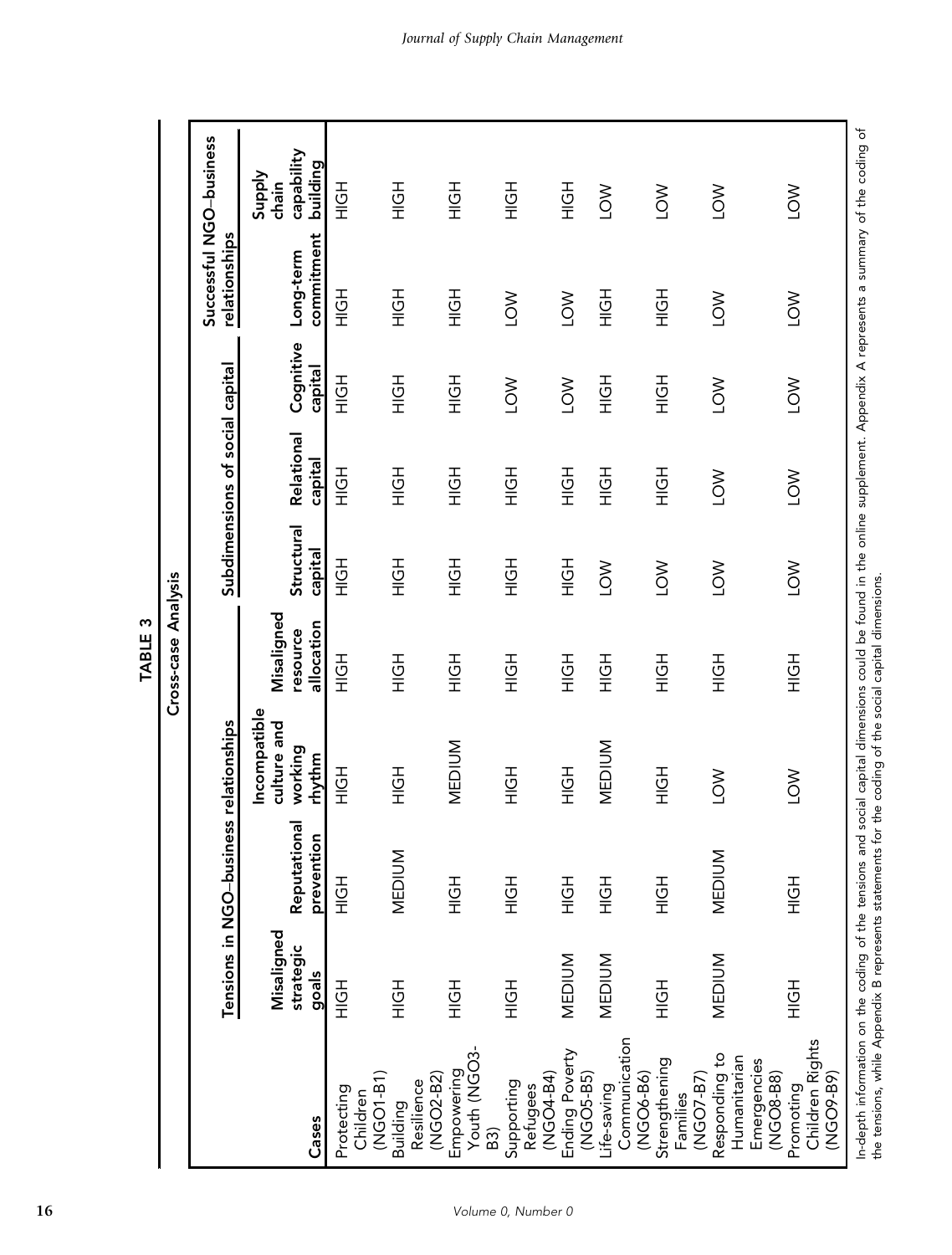|                                                           |                                  | Tensions in NGO-business relationships |                                                  |                                      |                       | Subdimensions of social capital |                      | Successful NGO-business<br>relationships |                                                  |
|-----------------------------------------------------------|----------------------------------|----------------------------------------|--------------------------------------------------|--------------------------------------|-----------------------|---------------------------------|----------------------|------------------------------------------|--------------------------------------------------|
| Cases                                                     | Misaligned<br>strategic<br>goals | Reputationa<br>prevention              | Incompatible<br>culture and<br>working<br>rhythm | Misaligned<br>allocation<br>resource | Structural<br>capital | Relational<br>capital           | Cognitive<br>capital | commitment<br>Long-term                  | capability<br>building<br><b>Supply</b><br>chain |
| (NGO1-B1)<br>Protecting<br>Children                       | HOH                              | HOH                                    | エクエ                                              | HOH                                  | HOH                   | エクテ                             | エクテ                  | さい                                       | HOH                                              |
| (NGO2-B2)<br>Resilience<br>Building                       | HOH                              | <b>MEDIUM</b>                          | HOH                                              | H <sub>OH</sub>                      | HOH                   | H <sub>OH</sub>                 | H <sub>OH</sub>      | H <sub>OH</sub>                          | H <sub>OH</sub>                                  |
| Youth (NGO3-<br>Empowering<br>B3)                         | H <sub>OH</sub>                  | H <sub>OH</sub>                        | <b>MEDIUM</b>                                    | H <sub>OH</sub>                      | H <sub>QH</sub>       | H <sub>OH</sub>                 | H <sub>OH</sub>      | H <sub>OH</sub>                          | H <sub>OH</sub>                                  |
| (NG-04-B4)<br>Supporting<br>Refugees                      | H <sub>OH</sub>                  | H <sub>OH</sub>                        | HOH                                              | H <sub>OH</sub>                      | HOH                   | H <sub>OH</sub>                 | <b>NOT</b>           | $\geq$                                   | H <sub>OH</sub>                                  |
| Ending Poverty<br>(NGO5-B5)                               | <b>MEDIUM</b>                    | H <sub>OH</sub>                        | H <sub>OH</sub>                                  | H <sub>OH</sub>                      | H <sub>OH</sub>       | H <sub>OH</sub>                 | $\sum_{i=1}^{n}$     | $\sum_{i=1}^{n}$                         | H <sub>OH</sub>                                  |
| Communication<br>(NGO6-B6)<br>Life-saving                 | MEDIUM                           | H <sub>OH</sub>                        | <b>MEDIUM</b>                                    | H <sub>OH</sub>                      | <b>NOT</b>            | H <sub>OH</sub>                 | H <sub>OH</sub>      | HQH                                      | $\sum_{i=1}^{n}$                                 |
| Strengthening<br>(NGO7-B7)<br>Families                    | HOH                              | HOH                                    | HOH                                              | H <sub>OH</sub>                      | <b>NOT</b>            | H <sub>OH</sub>                 | H <sub>OH</sub>      | H <sub>OH</sub>                          | <b>NOT</b>                                       |
| Responding to<br>Humanitarian<br>Emergencies<br>(NG-8-B8) | <b>MEDIUM</b>                    | <b>MEDIUM</b>                          | <b>NOT</b>                                       | H <sub>OH</sub>                      | <b>NOT</b>            | $\sum$                          | <b>NOT</b>           | $\geq$                                   | LOW                                              |
| Children Rights<br>(NG-99-B9)<br>Promoting                | H <sub>OH</sub>                  | HOH                                    | <b>NO1</b>                                       | H <sub>OH</sub>                      | <b>NO1</b>            | <b>NO1</b>                      | <b>NO1</b>           | <b>NO1</b>                               | $\sum_{i=1}^{n}$                                 |

Volume 0, Number 0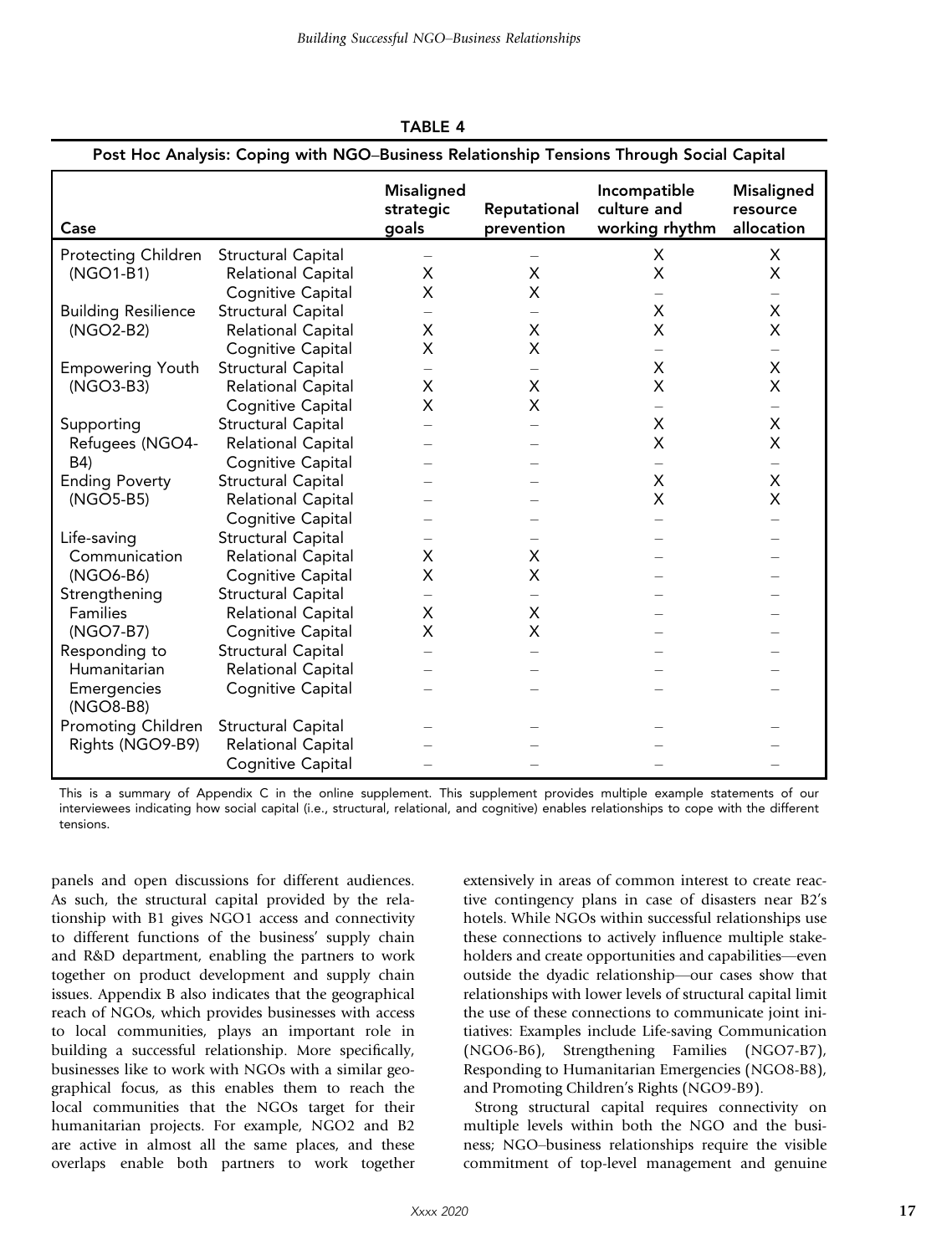|                            | Post Hoc Analysis: Coping with NGO-Business Relationship Tensions Through Social Capital |                                         |                            |                                               |                                             |
|----------------------------|------------------------------------------------------------------------------------------|-----------------------------------------|----------------------------|-----------------------------------------------|---------------------------------------------|
| Case                       |                                                                                          | <b>Misaligned</b><br>strategic<br>goals | Reputational<br>prevention | Incompatible<br>culture and<br>working rhythm | <b>Misaligned</b><br>resource<br>allocation |
| Protecting Children        | Structural Capital                                                                       |                                         |                            | X                                             | X                                           |
| (NGO1-B1)                  | Relational Capital                                                                       | Х                                       | X                          | X                                             | X                                           |
|                            | Cognitive Capital                                                                        | X                                       | X                          |                                               | $\overline{\phantom{0}}$                    |
| <b>Building Resilience</b> | Structural Capital                                                                       |                                         |                            | X                                             | $\pmb{\mathsf{X}}$                          |
| (NGO2-B2)                  | Relational Capital                                                                       | Χ                                       | X                          | X                                             | X                                           |
|                            | <b>Cognitive Capital</b>                                                                 | X                                       | X                          |                                               | $\overline{\phantom{0}}$                    |
| <b>Empowering Youth</b>    | Structural Capital                                                                       | $\overline{\phantom{0}}$                | $\overline{\phantom{0}}$   | X                                             | X                                           |
| (NGO3-B3)                  | Relational Capital                                                                       | X                                       | X                          | X                                             | X                                           |
|                            | Cognitive Capital                                                                        | Χ                                       | X                          |                                               |                                             |
| Supporting                 | <b>Structural Capital</b>                                                                |                                         |                            | X                                             | X                                           |
| Refugees (NGO4-            | <b>Relational Capital</b>                                                                |                                         |                            | X                                             | X                                           |
| B4)                        | Cognitive Capital                                                                        |                                         |                            |                                               | —                                           |
| <b>Ending Poverty</b>      | Structural Capital                                                                       |                                         |                            | X                                             | X                                           |
| (NGO5-B5)                  | <b>Relational Capital</b>                                                                |                                         |                            | X                                             | X                                           |
|                            | Cognitive Capital                                                                        |                                         |                            |                                               |                                             |
| Life-saving                | Structural Capital                                                                       |                                         |                            |                                               |                                             |
| Communication              | Relational Capital                                                                       | X                                       | Χ                          |                                               |                                             |
| (NGO6-B6)                  | Cognitive Capital                                                                        | X                                       | X                          |                                               |                                             |
| Strengthening              | Structural Capital                                                                       |                                         |                            |                                               |                                             |
| Families                   | Relational Capital                                                                       | Х                                       | X                          |                                               |                                             |
| (NGO7-B7)                  | Cognitive Capital                                                                        | X                                       | Χ                          |                                               |                                             |
| Responding to              | <b>Structural Capital</b>                                                                |                                         |                            |                                               |                                             |
| Humanitarian               | <b>Relational Capital</b>                                                                |                                         |                            |                                               |                                             |
| Emergencies<br>(NGO8-B8)   | Cognitive Capital                                                                        |                                         |                            |                                               |                                             |
| Promoting Children         | Structural Capital                                                                       |                                         |                            |                                               |                                             |
| Rights (NGO9-B9)           | Relational Capital                                                                       |                                         |                            |                                               |                                             |
|                            | Cognitive Capital                                                                        |                                         |                            |                                               |                                             |

TABLE 4

This is a summary of Appendix C in the online supplement. This supplement provides multiple example statements of our interviewees indicating how social capital (i.e., structural, relational, and cognitive) enables relationships to cope with the different tensions.

panels and open discussions for different audiences. As such, the structural capital provided by the relationship with B1 gives NGO1 access and connectivity to different functions of the business' supply chain and R&D department, enabling the partners to work together on product development and supply chain issues. Appendix B also indicates that the geographical reach of NGOs, which provides businesses with access to local communities, plays an important role in building a successful relationship. More specifically, businesses like to work with NGOs with a similar geographical focus, as this enables them to reach the local communities that the NGOs target for their humanitarian projects. For example, NGO2 and B2 are active in almost all the same places, and these overlaps enable both partners to work together

extensively in areas of common interest to create reactive contingency plans in case of disasters near B2's hotels. While NGOs within successful relationships use these connections to actively influence multiple stakeholders and create opportunities and capabilities—even outside the dyadic relationship—our cases show that relationships with lower levels of structural capital limit the use of these connections to communicate joint initiatives: Examples include Life-saving Communication (NGO6-B6), Strengthening Families (NGO7-B7), Responding to Humanitarian Emergencies (NGO8-B8), and Promoting Children's Rights (NGO9-B9).

Strong structural capital requires connectivity on multiple levels within both the NGO and the business; NGO–business relationships require the visible commitment of top-level management and genuine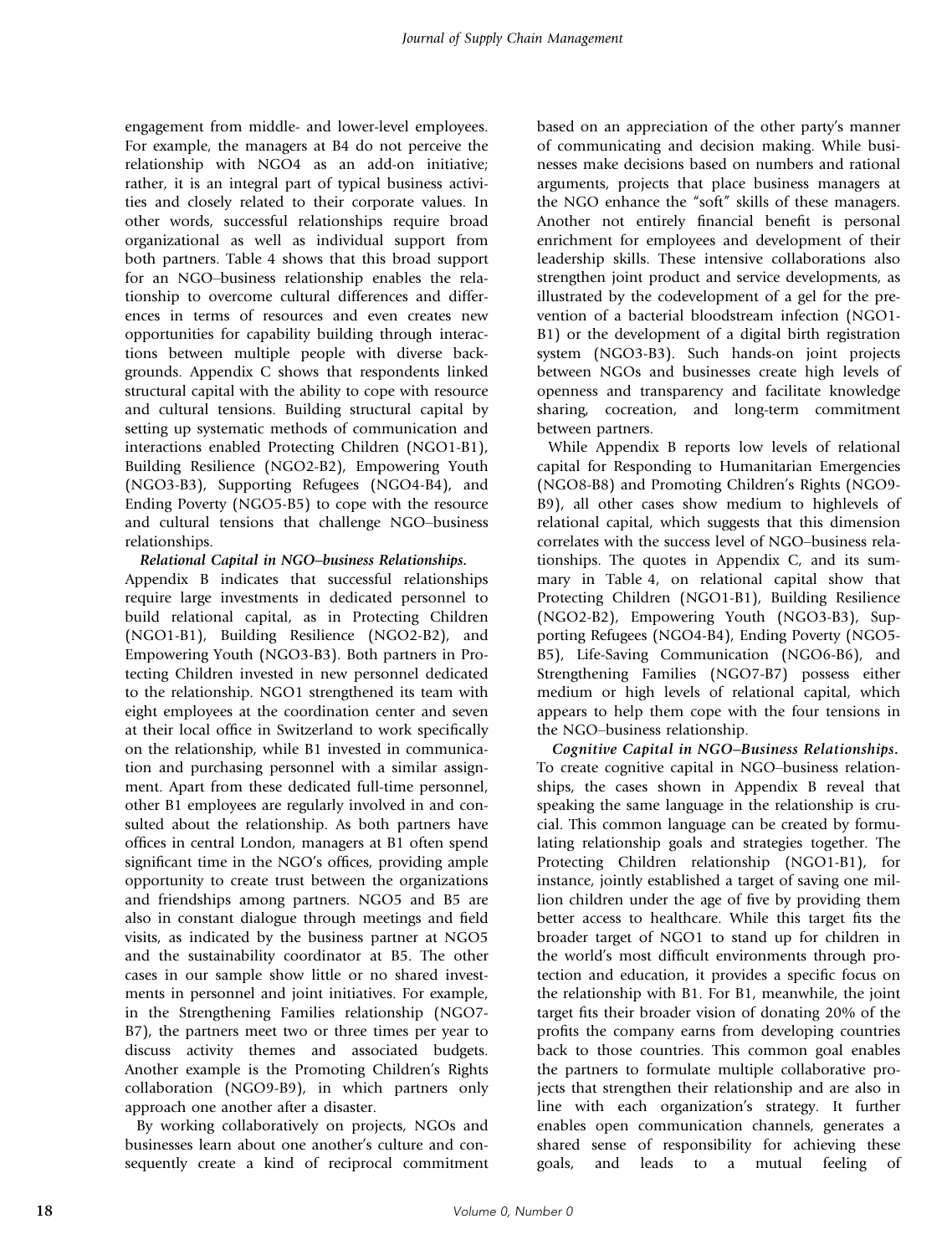engagement from middle- and lower-level employees. For example, the managers at B4 do not perceive the relationship with NGO4 as an add-on initiative; rather, it is an integral part of typical business activities and closely related to their corporate values. In other words, successful relationships require broad organizational as well as individual support from both partners. Table 4 shows that this broad support for an NGO–business relationship enables the relationship to overcome cultural differences and differences in terms of resources and even creates new opportunities for capability building through interactions between multiple people with diverse backgrounds. Appendix C shows that respondents linked structural capital with the ability to cope with resource and cultural tensions. Building structural capital by setting up systematic methods of communication and interactions enabled Protecting Children (NGO1-B1), Building Resilience (NGO2-B2), Empowering Youth (NGO3-B3), Supporting Refugees (NGO4-B4), and Ending Poverty (NGO5-B5) to cope with the resource and cultural tensions that challenge NGO–business relationships.

#### *Relational Capital in NGO*–*business Relationships.*

Appendix B indicates that successful relationships require large investments in dedicated personnel to build relational capital, as in Protecting Children (NGO1-B1), Building Resilience (NGO2-B2), and Empowering Youth (NGO3-B3). Both partners in Protecting Children invested in new personnel dedicated to the relationship. NGO1 strengthened its team with eight employees at the coordination center and seven at their local office in Switzerland to work specifically on the relationship, while B1 invested in communication and purchasing personnel with a similar assignment. Apart from these dedicated full-time personnel, other B1 employees are regularly involved in and consulted about the relationship. As both partners have offices in central London, managers at B1 often spend significant time in the NGO's offices, providing ample opportunity to create trust between the organizations and friendships among partners. NGO5 and B5 are also in constant dialogue through meetings and field visits, as indicated by the business partner at NGO5 and the sustainability coordinator at B5. The other cases in our sample show little or no shared investments in personnel and joint initiatives. For example, in the Strengthening Families relationship (NGO7- B7), the partners meet two or three times per year to discuss activity themes and associated budgets. Another example is the Promoting Children's Rights collaboration (NGO9-B9), in which partners only approach one another after a disaster.

By working collaboratively on projects, NGOs and businesses learn about one another's culture and consequently create a kind of reciprocal commitment based on an appreciation of the other party's manner of communicating and decision making. While businesses make decisions based on numbers and rational arguments, projects that place business managers at the NGO enhance the "soft" skills of these managers. Another not entirely financial benefit is personal enrichment for employees and development of their leadership skills. These intensive collaborations also strengthen joint product and service developments, as illustrated by the codevelopment of a gel for the prevention of a bacterial bloodstream infection (NGO1- B1) or the development of a digital birth registration system (NGO3-B3). Such hands-on joint projects between NGOs and businesses create high levels of openness and transparency and facilitate knowledge sharing, cocreation, and long-term commitment between partners.

While Appendix B reports low levels of relational capital for Responding to Humanitarian Emergencies (NGO8-B8) and Promoting Children's Rights (NGO9- B9), all other cases show medium to highlevels of relational capital, which suggests that this dimension correlates with the success level of NGO–business relationships. The quotes in Appendix C, and its summary in Table 4, on relational capital show that Protecting Children (NGO1-B1), Building Resilience (NGO2-B2), Empowering Youth (NGO3-B3), Supporting Refugees (NGO4-B4), Ending Poverty (NGO5- B5), Life-Saving Communication (NGO6-B6), and Strengthening Families (NGO7-B7) possess either medium or high levels of relational capital, which appears to help them cope with the four tensions in the NGO–business relationship.

*Cognitive Capital in NGO*–*Business Relationships.* To create cognitive capital in NGO–business relationships, the cases shown in Appendix B reveal that speaking the same language in the relationship is crucial. This common language can be created by formulating relationship goals and strategies together. The Protecting Children relationship (NGO1-B1), for instance, jointly established a target of saving one million children under the age of five by providing them better access to healthcare. While this target fits the broader target of NGO1 to stand up for children in the world's most difficult environments through protection and education, it provides a specific focus on the relationship with B1. For B1, meanwhile, the joint target fits their broader vision of donating 20% of the profits the company earns from developing countries back to those countries. This common goal enables the partners to formulate multiple collaborative projects that strengthen their relationship and are also in line with each organization's strategy. It further enables open communication channels, generates a shared sense of responsibility for achieving these goals, and leads to a mutual feeling of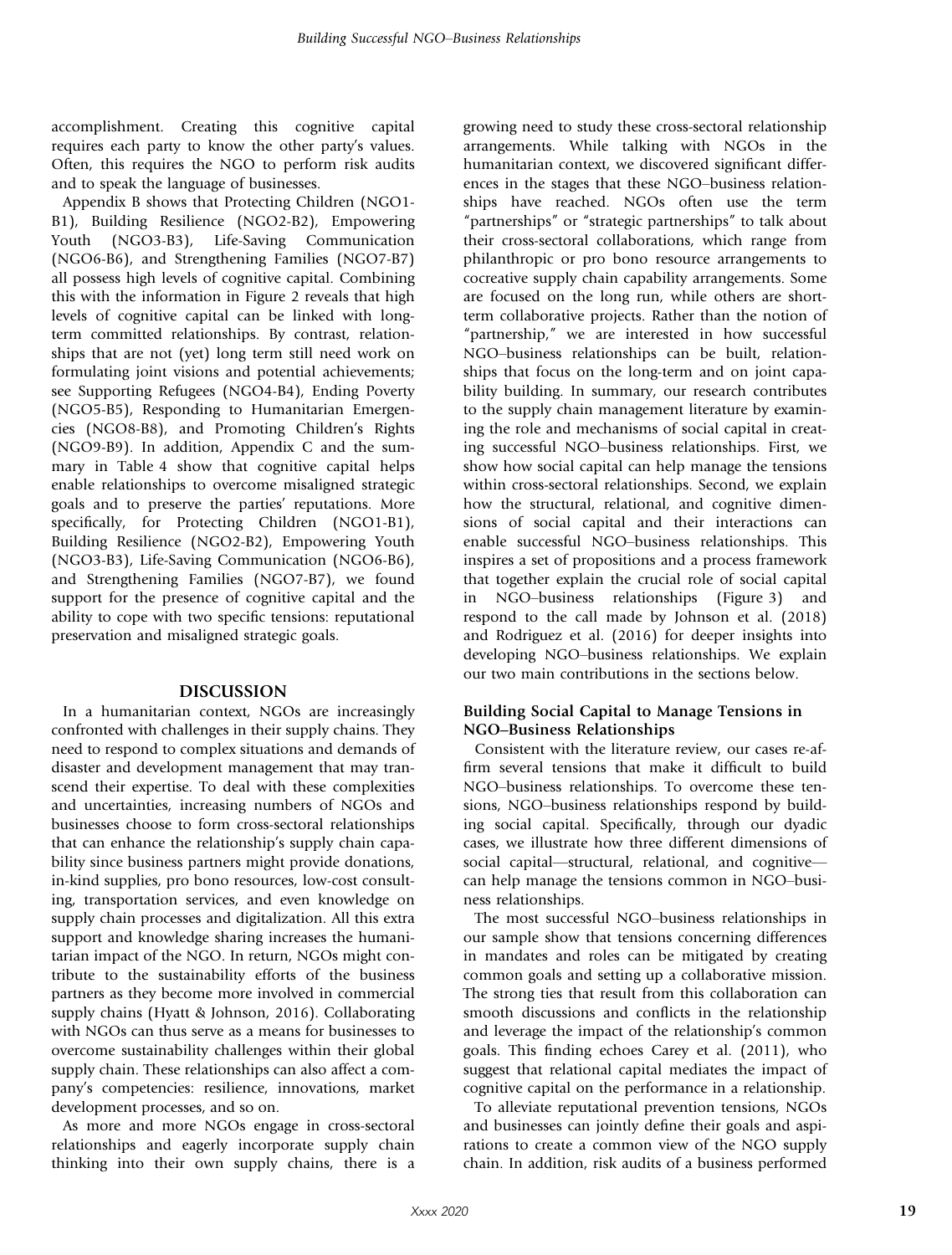accomplishment. Creating this cognitive capital requires each party to know the other party's values. Often, this requires the NGO to perform risk audits and to speak the language of businesses.

Appendix B shows that Protecting Children (NGO1- B1), Building Resilience (NGO2-B2), Empowering Youth (NGO3-B3), Life-Saving Communication (NGO6-B6), and Strengthening Families (NGO7-B7) all possess high levels of cognitive capital. Combining this with the information in Figure 2 reveals that high levels of cognitive capital can be linked with longterm committed relationships. By contrast, relationships that are not (yet) long term still need work on formulating joint visions and potential achievements; see Supporting Refugees (NGO4-B4), Ending Poverty (NGO5-B5), Responding to Humanitarian Emergencies (NGO8-B8), and Promoting Children's Rights (NGO9-B9). In addition, Appendix C and the summary in Table 4 show that cognitive capital helps enable relationships to overcome misaligned strategic goals and to preserve the parties' reputations. More specifically, for Protecting Children (NGO1-B1), Building Resilience (NGO2-B2), Empowering Youth (NGO3-B3), Life-Saving Communication (NGO6-B6), and Strengthening Families (NGO7-B7), we found support for the presence of cognitive capital and the ability to cope with two specific tensions: reputational preservation and misaligned strategic goals.

#### DISCUSSION

In a humanitarian context, NGOs are increasingly confronted with challenges in their supply chains. They need to respond to complex situations and demands of disaster and development management that may transcend their expertise. To deal with these complexities and uncertainties, increasing numbers of NGOs and businesses choose to form cross-sectoral relationships that can enhance the relationship's supply chain capability since business partners might provide donations, in-kind supplies, pro bono resources, low-cost consulting, transportation services, and even knowledge on supply chain processes and digitalization. All this extra support and knowledge sharing increases the humanitarian impact of the NGO. In return, NGOs might contribute to the sustainability efforts of the business partners as they become more involved in commercial supply chains (Hyatt & Johnson, 2016). Collaborating with NGOs can thus serve as a means for businesses to overcome sustainability challenges within their global supply chain. These relationships can also affect a company's competencies: resilience, innovations, market development processes, and so on.

As more and more NGOs engage in cross-sectoral relationships and eagerly incorporate supply chain thinking into their own supply chains, there is a growing need to study these cross-sectoral relationship arrangements. While talking with NGOs in the humanitarian context, we discovered significant differences in the stages that these NGO–business relationships have reached. NGOs often use the term "partnerships" or "strategic partnerships" to talk about their cross-sectoral collaborations, which range from philanthropic or pro bono resource arrangements to cocreative supply chain capability arrangements. Some are focused on the long run, while others are shortterm collaborative projects. Rather than the notion of "partnership," we are interested in how successful NGO–business relationships can be built, relationships that focus on the long-term and on joint capability building. In summary, our research contributes to the supply chain management literature by examining the role and mechanisms of social capital in creating successful NGO–business relationships. First, we show how social capital can help manage the tensions within cross-sectoral relationships. Second, we explain how the structural, relational, and cognitive dimensions of social capital and their interactions can enable successful NGO–business relationships. This inspires a set of propositions and a process framework that together explain the crucial role of social capital in NGO–business relationships (Figure 3) and respond to the call made by Johnson et al. (2018) and Rodriguez et al. (2016) for deeper insights into developing NGO–business relationships. We explain our two main contributions in the sections below.

#### Building Social Capital to Manage Tensions in NGO–Business Relationships

Consistent with the literature review, our cases re-affirm several tensions that make it difficult to build NGO–business relationships. To overcome these tensions, NGO–business relationships respond by building social capital. Specifically, through our dyadic cases, we illustrate how three different dimensions of social capital—structural, relational, and cognitive can help manage the tensions common in NGO–business relationships.

The most successful NGO–business relationships in our sample show that tensions concerning differences in mandates and roles can be mitigated by creating common goals and setting up a collaborative mission. The strong ties that result from this collaboration can smooth discussions and conflicts in the relationship and leverage the impact of the relationship's common goals. This finding echoes Carey et al. (2011), who suggest that relational capital mediates the impact of cognitive capital on the performance in a relationship.

To alleviate reputational prevention tensions, NGOs and businesses can jointly define their goals and aspirations to create a common view of the NGO supply chain. In addition, risk audits of a business performed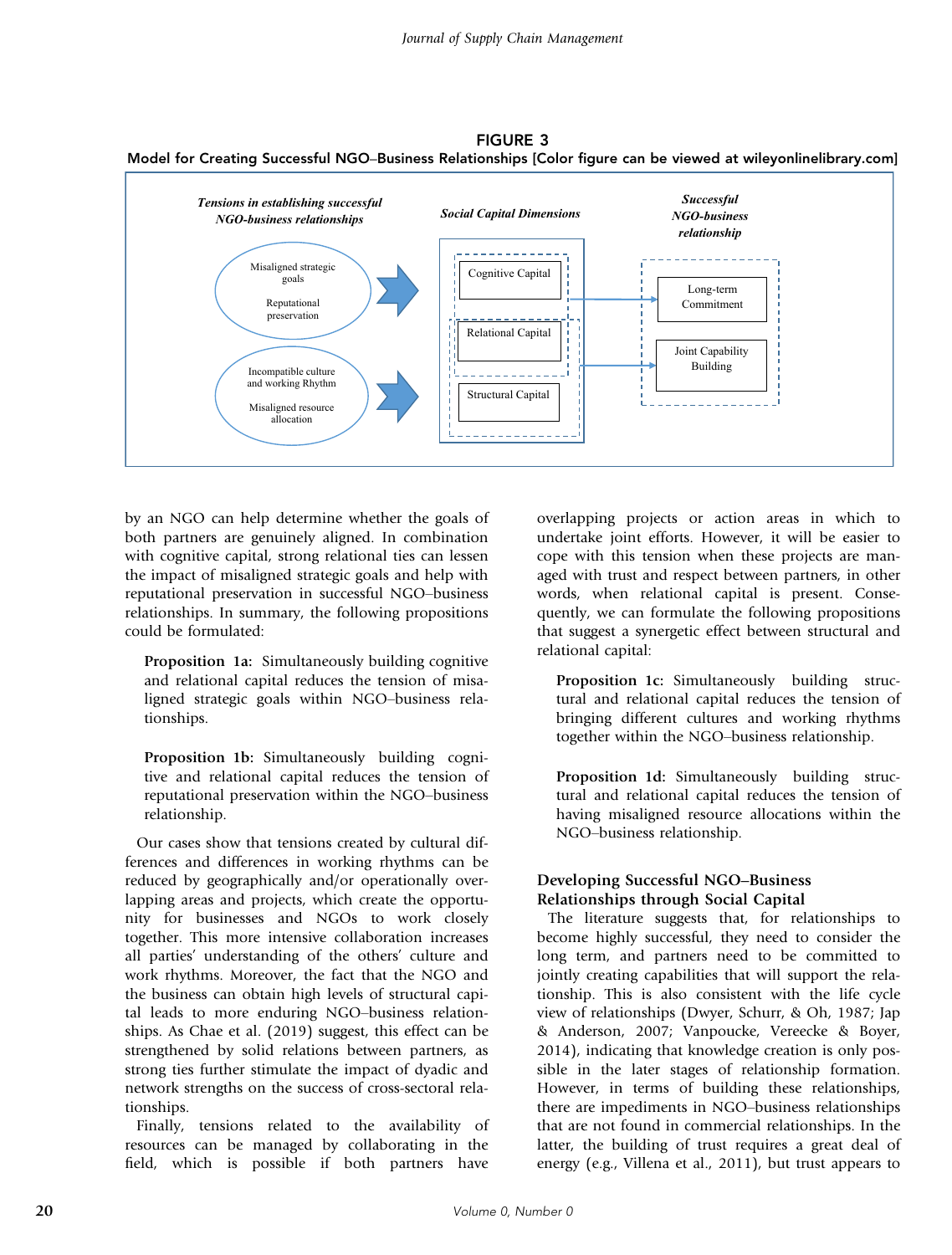FIGURE 3 Model for Creating Successful NGO–Business Relationships [Color figure can be viewed at [wileyonlinelibrary.com\]](www.wileyonlinelibrary.com)



by an NGO can help determine whether the goals of both partners are genuinely aligned. In combination with cognitive capital, strong relational ties can lessen the impact of misaligned strategic goals and help with reputational preservation in successful NGO–business relationships. In summary, the following propositions could be formulated:

Proposition 1a: Simultaneously building cognitive and relational capital reduces the tension of misaligned strategic goals within NGO–business relationships.

Proposition 1b: Simultaneously building cognitive and relational capital reduces the tension of reputational preservation within the NGO–business relationship.

Our cases show that tensions created by cultural differences and differences in working rhythms can be reduced by geographically and/or operationally overlapping areas and projects, which create the opportunity for businesses and NGOs to work closely together. This more intensive collaboration increases all parties' understanding of the others' culture and work rhythms. Moreover, the fact that the NGO and the business can obtain high levels of structural capital leads to more enduring NGO–business relationships. As Chae et al. (2019) suggest, this effect can be strengthened by solid relations between partners, as strong ties further stimulate the impact of dyadic and network strengths on the success of cross-sectoral relationships.

Finally, tensions related to the availability of resources can be managed by collaborating in the field, which is possible if both partners have overlapping projects or action areas in which to undertake joint efforts. However, it will be easier to cope with this tension when these projects are managed with trust and respect between partners, in other words, when relational capital is present. Consequently, we can formulate the following propositions that suggest a synergetic effect between structural and relational capital:

Proposition 1c: Simultaneously building structural and relational capital reduces the tension of bringing different cultures and working rhythms together within the NGO–business relationship.

Proposition 1d: Simultaneously building structural and relational capital reduces the tension of having misaligned resource allocations within the NGO–business relationship.

# Developing Successful NGO–Business Relationships through Social Capital

The literature suggests that, for relationships to become highly successful, they need to consider the long term, and partners need to be committed to jointly creating capabilities that will support the relationship. This is also consistent with the life cycle view of relationships (Dwyer, Schurr, & Oh, 1987; Jap & Anderson, 2007; Vanpoucke, Vereecke & Boyer, 2014), indicating that knowledge creation is only possible in the later stages of relationship formation. However, in terms of building these relationships, there are impediments in NGO–business relationships that are not found in commercial relationships. In the latter, the building of trust requires a great deal of energy (e.g., Villena et al., 2011), but trust appears to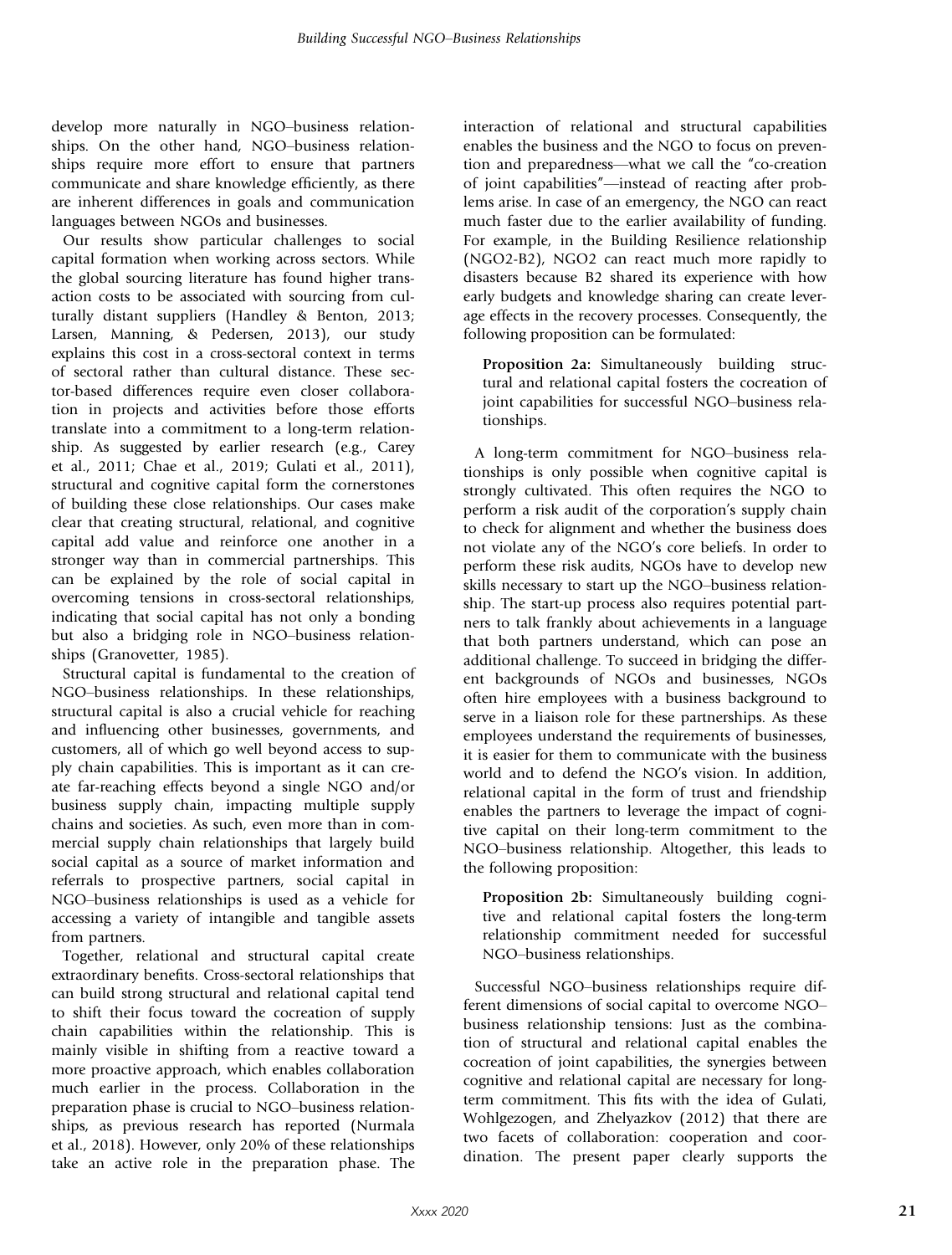develop more naturally in NGO–business relationships. On the other hand, NGO–business relationships require more effort to ensure that partners communicate and share knowledge efficiently, as there are inherent differences in goals and communication languages between NGOs and businesses.

Our results show particular challenges to social capital formation when working across sectors. While the global sourcing literature has found higher transaction costs to be associated with sourcing from culturally distant suppliers (Handley & Benton, 2013; Larsen, Manning, & Pedersen, 2013), our study explains this cost in a cross-sectoral context in terms of sectoral rather than cultural distance. These sector-based differences require even closer collaboration in projects and activities before those efforts translate into a commitment to a long-term relationship. As suggested by earlier research (e.g., Carey et al., 2011; Chae et al., 2019; Gulati et al., 2011), structural and cognitive capital form the cornerstones of building these close relationships. Our cases make clear that creating structural, relational, and cognitive capital add value and reinforce one another in a stronger way than in commercial partnerships. This can be explained by the role of social capital in overcoming tensions in cross-sectoral relationships, indicating that social capital has not only a bonding but also a bridging role in NGO–business relationships (Granovetter, 1985).

Structural capital is fundamental to the creation of NGO–business relationships. In these relationships, structural capital is also a crucial vehicle for reaching and influencing other businesses, governments, and customers, all of which go well beyond access to supply chain capabilities. This is important as it can create far-reaching effects beyond a single NGO and/or business supply chain, impacting multiple supply chains and societies. As such, even more than in commercial supply chain relationships that largely build social capital as a source of market information and referrals to prospective partners, social capital in NGO–business relationships is used as a vehicle for accessing a variety of intangible and tangible assets from partners.

Together, relational and structural capital create extraordinary benefits. Cross-sectoral relationships that can build strong structural and relational capital tend to shift their focus toward the cocreation of supply chain capabilities within the relationship. This is mainly visible in shifting from a reactive toward a more proactive approach, which enables collaboration much earlier in the process. Collaboration in the preparation phase is crucial to NGO–business relationships, as previous research has reported (Nurmala et al., 2018). However, only 20% of these relationships take an active role in the preparation phase. The

interaction of relational and structural capabilities enables the business and the NGO to focus on prevention and preparedness—what we call the "co-creation of joint capabilities"—instead of reacting after problems arise. In case of an emergency, the NGO can react much faster due to the earlier availability of funding. For example, in the Building Resilience relationship (NGO2-B2), NGO2 can react much more rapidly to disasters because B2 shared its experience with how early budgets and knowledge sharing can create leverage effects in the recovery processes. Consequently, the following proposition can be formulated:

Proposition 2a: Simultaneously building structural and relational capital fosters the cocreation of joint capabilities for successful NGO–business relationships.

A long-term commitment for NGO–business relationships is only possible when cognitive capital is strongly cultivated. This often requires the NGO to perform a risk audit of the corporation's supply chain to check for alignment and whether the business does not violate any of the NGO's core beliefs. In order to perform these risk audits, NGOs have to develop new skills necessary to start up the NGO–business relationship. The start-up process also requires potential partners to talk frankly about achievements in a language that both partners understand, which can pose an additional challenge. To succeed in bridging the different backgrounds of NGOs and businesses, NGOs often hire employees with a business background to serve in a liaison role for these partnerships. As these employees understand the requirements of businesses, it is easier for them to communicate with the business world and to defend the NGO's vision. In addition, relational capital in the form of trust and friendship enables the partners to leverage the impact of cognitive capital on their long-term commitment to the NGO–business relationship. Altogether, this leads to the following proposition:

Proposition 2b: Simultaneously building cognitive and relational capital fosters the long-term relationship commitment needed for successful NGO–business relationships.

Successful NGO–business relationships require different dimensions of social capital to overcome NGO– business relationship tensions: Just as the combination of structural and relational capital enables the cocreation of joint capabilities, the synergies between cognitive and relational capital are necessary for longterm commitment. This fits with the idea of Gulati, Wohlgezogen, and Zhelyazkov (2012) that there are two facets of collaboration: cooperation and coordination. The present paper clearly supports the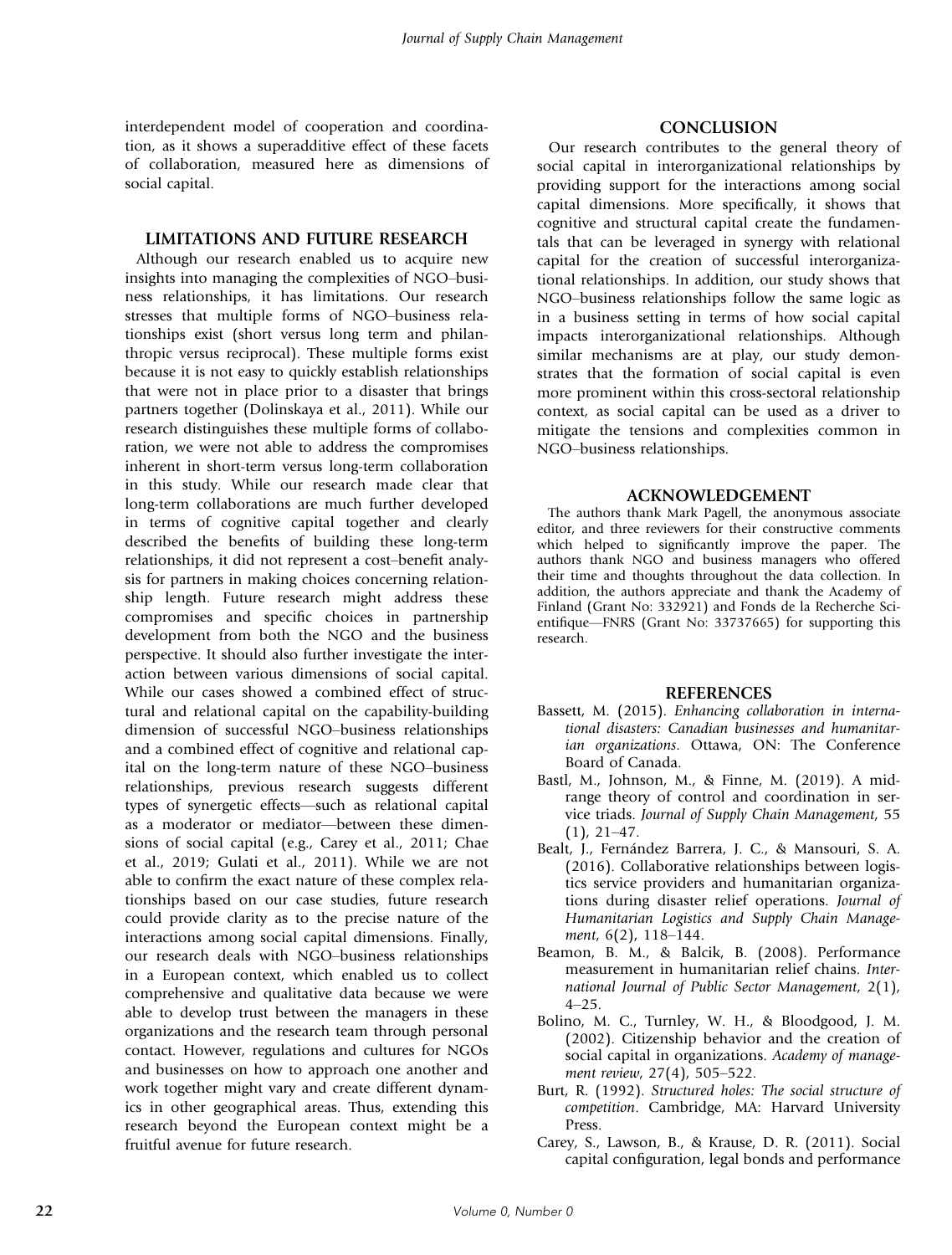interdependent model of cooperation and coordination, as it shows a superadditive effect of these facets of collaboration, measured here as dimensions of social capital.

#### LIMITATIONS AND FUTURE RESEARCH

Although our research enabled us to acquire new insights into managing the complexities of NGO–business relationships, it has limitations. Our research stresses that multiple forms of NGO–business relationships exist (short versus long term and philanthropic versus reciprocal). These multiple forms exist because it is not easy to quickly establish relationships that were not in place prior to a disaster that brings partners together (Dolinskaya et al., 2011). While our research distinguishes these multiple forms of collaboration, we were not able to address the compromises inherent in short-term versus long-term collaboration in this study. While our research made clear that long-term collaborations are much further developed in terms of cognitive capital together and clearly described the benefits of building these long-term relationships, it did not represent a cost–benefit analysis for partners in making choices concerning relationship length. Future research might address these compromises and specific choices in partnership development from both the NGO and the business perspective. It should also further investigate the interaction between various dimensions of social capital. While our cases showed a combined effect of structural and relational capital on the capability-building dimension of successful NGO–business relationships and a combined effect of cognitive and relational capital on the long-term nature of these NGO–business relationships, previous research suggests different types of synergetic effects—such as relational capital as a moderator or mediator—between these dimensions of social capital (e.g., Carey et al., 2011; Chae et al., 2019; Gulati et al., 2011). While we are not able to confirm the exact nature of these complex relationships based on our case studies, future research could provide clarity as to the precise nature of the interactions among social capital dimensions. Finally, our research deals with NGO–business relationships in a European context, which enabled us to collect comprehensive and qualitative data because we were able to develop trust between the managers in these organizations and the research team through personal contact. However, regulations and cultures for NGOs and businesses on how to approach one another and work together might vary and create different dynamics in other geographical areas. Thus, extending this research beyond the European context might be a fruitful avenue for future research.

## **CONCLUSION**

Our research contributes to the general theory of social capital in interorganizational relationships by providing support for the interactions among social capital dimensions. More specifically, it shows that cognitive and structural capital create the fundamentals that can be leveraged in synergy with relational capital for the creation of successful interorganizational relationships. In addition, our study shows that NGO–business relationships follow the same logic as in a business setting in terms of how social capital impacts interorganizational relationships. Although similar mechanisms are at play, our study demonstrates that the formation of social capital is even more prominent within this cross-sectoral relationship context, as social capital can be used as a driver to mitigate the tensions and complexities common in NGO–business relationships.

#### ACKNOWLEDGEMENT

The authors thank Mark Pagell, the anonymous associate editor, and three reviewers for their constructive comments which helped to significantly improve the paper. The authors thank NGO and business managers who offered their time and thoughts throughout the data collection. In addition, the authors appreciate and thank the Academy of Finland (Grant No: 332921) and Fonds de la Recherche Scientifique—FNRS (Grant No: 33737665) for supporting this research.

#### REFERENCES

- Bassett, M. (2015). Enhancing collaboration in international disasters: Canadian businesses and humanitarian organizations. Ottawa, ON: The Conference Board of Canada.
- Bastl, M., Johnson, M., & Finne, M. (2019). A midrange theory of control and coordination in service triads. Journal of Supply Chain Management, 55 (1), 21–47.
- Bealt, J., Fernández Barrera, J. C., & Mansouri, S. A. (2016). Collaborative relationships between logistics service providers and humanitarian organizations during disaster relief operations. Journal of Humanitarian Logistics and Supply Chain Management, 6(2), 118–144.
- Beamon, B. M., & Balcik, B. (2008). Performance measurement in humanitarian relief chains. International Journal of Public Sector Management, 2(1), 4–25.
- Bolino, M. C., Turnley, W. H., & Bloodgood, J. M. (2002). Citizenship behavior and the creation of social capital in organizations. Academy of management review, 27(4), 505–522.
- Burt, R. (1992). Structured holes: The social structure of competition. Cambridge, MA: Harvard University Press.
- Carey, S., Lawson, B., & Krause, D. R. (2011). Social capital configuration, legal bonds and performance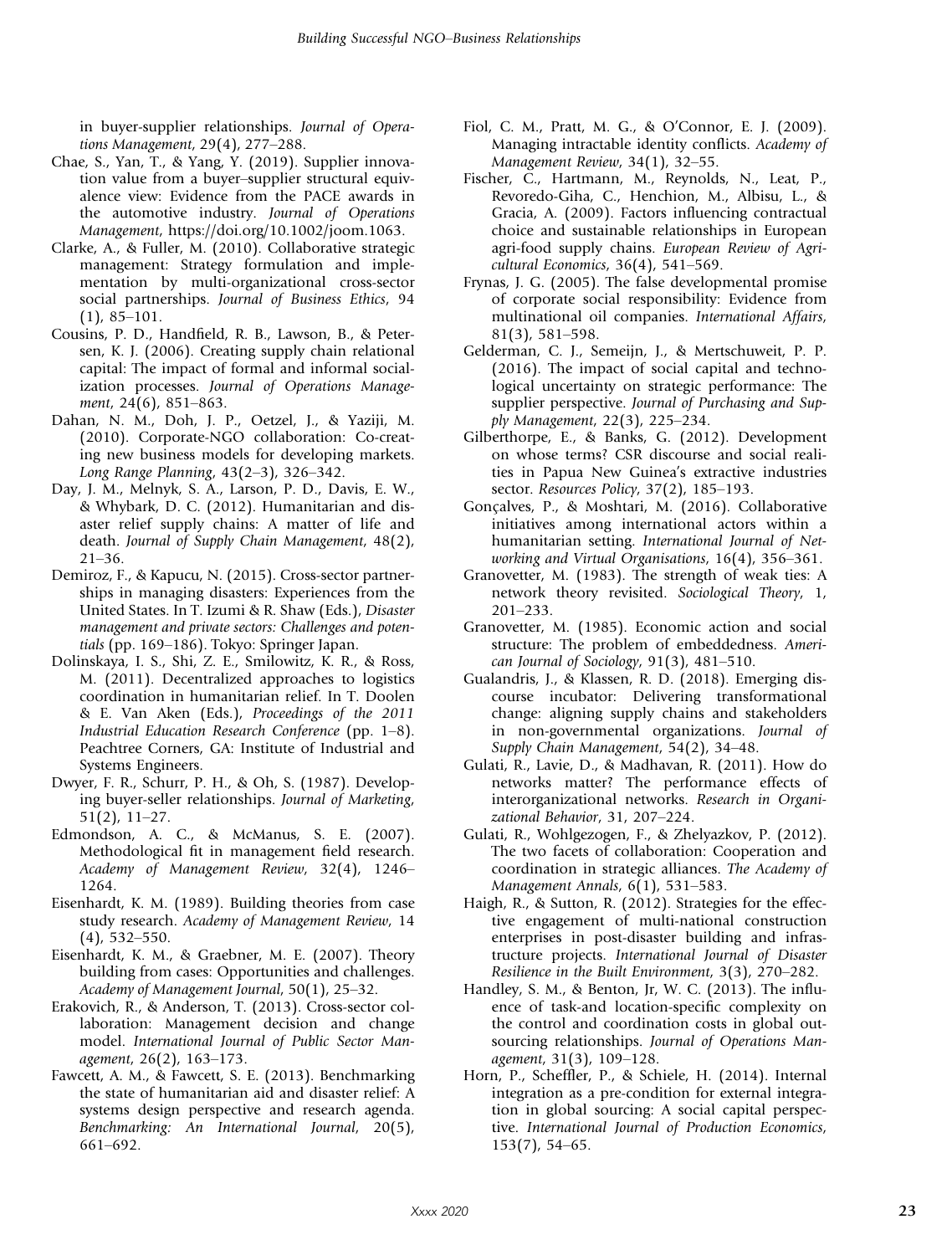in buyer-supplier relationships. Journal of Operations Management, 29(4), 277–288.

- Chae, S., Yan, T., & Yang, Y. (2019). Supplier innovation value from a buyer–supplier structural equivalence view: Evidence from the PACE awards in the automotive industry. Journal of Operations Management, [https://doi.org/10.1002/joom.1063.](https://doi.org/10.1002/joom.1063)
- Clarke, A., & Fuller, M. (2010). Collaborative strategic management: Strategy formulation and implementation by multi-organizational cross-sector social partnerships. Journal of Business Ethics, 94 (1), 85–101.
- Cousins, P. D., Handfield, R. B., Lawson, B., & Petersen, K. J. (2006). Creating supply chain relational capital: The impact of formal and informal socialization processes. Journal of Operations Management, 24(6), 851–863.
- Dahan, N. M., Doh, J. P., Oetzel, J., & Yaziji, M. (2010). Corporate-NGO collaboration: Co-creating new business models for developing markets. Long Range Planning, 43(2–3), 326–342.
- Day, J. M., Melnyk, S. A., Larson, P. D., Davis, E. W., & Whybark, D. C. (2012). Humanitarian and disaster relief supply chains: A matter of life and death. Journal of Supply Chain Management, 48(2), 21–36.
- Demiroz, F., & Kapucu, N. (2015). Cross-sector partnerships in managing disasters: Experiences from the United States. In T. Izumi & R. Shaw (Eds.), Disaster management and private sectors: Challenges and potentials (pp. 169–186). Tokyo: Springer Japan.
- Dolinskaya, I. S., Shi, Z. E., Smilowitz, K. R., & Ross, M. (2011). Decentralized approaches to logistics coordination in humanitarian relief. In T. Doolen & E. Van Aken (Eds.), Proceedings of the 2011 Industrial Education Research Conference (pp. 1–8). Peachtree Corners, GA: Institute of Industrial and Systems Engineers.
- Dwyer, F. R., Schurr, P. H., & Oh, S. (1987). Developing buyer-seller relationships. Journal of Marketing, 51(2), 11–27.
- Edmondson, A. C., & McManus, S. E. (2007). Methodological fit in management field research. Academy of Management Review, 32(4), 1246– 1264.
- Eisenhardt, K. M. (1989). Building theories from case study research. Academy of Management Review, 14 (4), 532–550.
- Eisenhardt, K. M., & Graebner, M. E. (2007). Theory building from cases: Opportunities and challenges. Academy of Management Journal, 50(1), 25–32.
- Erakovich, R., & Anderson, T. (2013). Cross-sector collaboration: Management decision and change model. International Journal of Public Sector Management, 26(2), 163–173.
- Fawcett, A. M., & Fawcett, S. E. (2013). Benchmarking the state of humanitarian aid and disaster relief: A systems design perspective and research agenda. Benchmarking: An International Journal, 20(5), 661–692.
- Fiol, C. M., Pratt, M. G., & O'Connor, E. J. (2009). Managing intractable identity conflicts. Academy of Management Review, 34(1), 32–55.
- Fischer, C., Hartmann, M., Reynolds, N., Leat, P., Revoredo-Giha, C., Henchion, M., Albisu, L., & Gracia, A. (2009). Factors influencing contractual choice and sustainable relationships in European agri-food supply chains. European Review of Agricultural Economics, 36(4), 541–569.
- Frynas, J. G. (2005). The false developmental promise of corporate social responsibility: Evidence from multinational oil companies. International Affairs, 81(3), 581–598.
- Gelderman, C. J., Semeijn, J., & Mertschuweit, P. P. (2016). The impact of social capital and technological uncertainty on strategic performance: The supplier perspective. Journal of Purchasing and Supply Management, 22(3), 225–234.
- Gilberthorpe, E., & Banks, G. (2012). Development on whose terms? CSR discourse and social realities in Papua New Guinea's extractive industries sector. Resources Policy, 37(2), 185-193.
- Gonçalves, P., & Moshtari, M. (2016). Collaborative initiatives among international actors within a humanitarian setting. International Journal of Networking and Virtual Organisations, 16(4), 356–361.
- Granovetter, M. (1983). The strength of weak ties: A network theory revisited. Sociological Theory, 1, 201–233.
- Granovetter, M. (1985). Economic action and social structure: The problem of embeddedness. American Journal of Sociology, 91(3), 481–510.
- Gualandris, J., & Klassen, R. D. (2018). Emerging discourse incubator: Delivering transformational change: aligning supply chains and stakeholders in non-governmental organizations. Journal of Supply Chain Management, 54(2), 34–48.
- Gulati, R., Lavie, D., & Madhavan, R. (2011). How do networks matter? The performance effects of interorganizational networks. Research in Organizational Behavior, 31, 207–224.
- Gulati, R., Wohlgezogen, F., & Zhelyazkov, P. (2012). The two facets of collaboration: Cooperation and coordination in strategic alliances. The Academy of Management Annals, 6(1), 531–583.
- Haigh, R., & Sutton, R. (2012). Strategies for the effective engagement of multi-national construction enterprises in post-disaster building and infrastructure projects. International Journal of Disaster Resilience in the Built Environment, 3(3), 270–282.
- Handley, S. M., & Benton, Jr, W. C. (2013). The influence of task-and location-specific complexity on the control and coordination costs in global outsourcing relationships. Journal of Operations Management, 31(3), 109–128.
- Horn, P., Scheffler, P., & Schiele, H. (2014). Internal integration as a pre-condition for external integration in global sourcing: A social capital perspective. International Journal of Production Economics, 153(7), 54–65.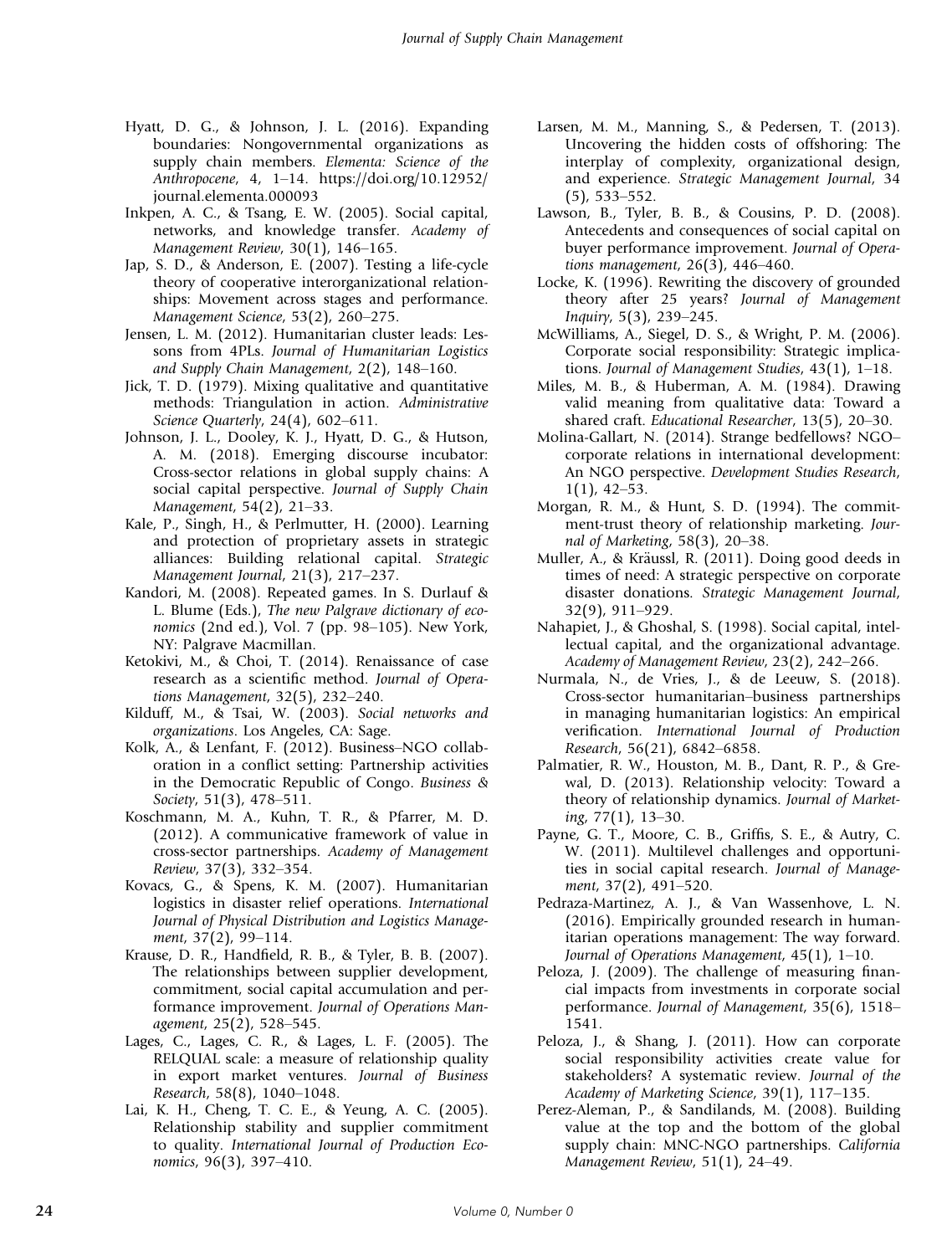- Hyatt, D. G., & Johnson, J. L. (2016). Expanding boundaries: Nongovernmental organizations as supply chain members. Elementa: Science of the Anthropocene, 4, 1–14. [https://doi.org/10.12952/](https://doi.org/10.12952/journal.elementa.000093) [journal.elementa.000093](https://doi.org/10.12952/journal.elementa.000093)
- Inkpen, A. C., & Tsang, E. W. (2005). Social capital, networks, and knowledge transfer. Academy of Management Review, 30(1), 146–165.
- Jap, S. D., & Anderson, E. (2007). Testing a life-cycle theory of cooperative interorganizational relationships: Movement across stages and performance. Management Science, 53(2), 260–275.
- Jensen, L. M. (2012). Humanitarian cluster leads: Lessons from 4PLs. Journal of Humanitarian Logistics and Supply Chain Management, 2(2), 148–160.
- Jick, T. D. (1979). Mixing qualitative and quantitative methods: Triangulation in action. Administrative Science Quarterly, 24(4), 602–611.
- Johnson, J. L., Dooley, K. J., Hyatt, D. G., & Hutson, A. M. (2018). Emerging discourse incubator: Cross-sector relations in global supply chains: A social capital perspective. Journal of Supply Chain Management, 54(2), 21–33.
- Kale, P., Singh, H., & Perlmutter, H. (2000). Learning and protection of proprietary assets in strategic alliances: Building relational capital. Strategic Management Journal, 21(3), 217–237.
- Kandori, M. (2008). Repeated games. In S. Durlauf & L. Blume (Eds.), The new Palgrave dictionary of economics (2nd ed.), Vol. 7 (pp. 98–105). New York, NY: Palgrave Macmillan.
- Ketokivi, M., & Choi, T. (2014). Renaissance of case research as a scientific method. Journal of Operations Management, 32(5), 232–240.
- Kilduff, M., & Tsai, W. (2003). Social networks and organizations. Los Angeles, CA: Sage.
- Kolk, A., & Lenfant, F. (2012). Business–NGO collaboration in a conflict setting: Partnership activities in the Democratic Republic of Congo. Business & Society, 51(3), 478–511.
- Koschmann, M. A., Kuhn, T. R., & Pfarrer, M. D. (2012). A communicative framework of value in cross-sector partnerships. Academy of Management Review, 37(3), 332–354.
- Kovacs, G., & Spens, K. M. (2007). Humanitarian logistics in disaster relief operations. International Journal of Physical Distribution and Logistics Management, 37(2), 99–114.
- Krause, D. R., Handfield, R. B., & Tyler, B. B. (2007). The relationships between supplier development, commitment, social capital accumulation and performance improvement. Journal of Operations Management, 25(2), 528–545.
- Lages, C., Lages, C. R., & Lages, L. F. (2005). The RELQUAL scale: a measure of relationship quality in export market ventures. Journal of Business Research, 58(8), 1040–1048.
- Lai, K. H., Cheng, T. C. E., & Yeung, A. C. (2005). Relationship stability and supplier commitment to quality. International Journal of Production Economics, 96(3), 397–410.
- Larsen, M. M., Manning, S., & Pedersen, T. (2013). Uncovering the hidden costs of offshoring: The interplay of complexity, organizational design, and experience. Strategic Management Journal, 34 (5), 533–552.
- Lawson, B., Tyler, B. B., & Cousins, P. D. (2008). Antecedents and consequences of social capital on buyer performance improvement. Journal of Operations management, 26(3), 446–460.
- Locke, K. (1996). Rewriting the discovery of grounded theory after 25 years? Journal of Management Inquiry, 5(3), 239–245.
- McWilliams, A., Siegel, D. S., & Wright, P. M. (2006). Corporate social responsibility: Strategic implications. Journal of Management Studies, 43(1), 1–18.
- Miles, M. B., & Huberman, A. M. (1984). Drawing valid meaning from qualitative data: Toward a shared craft. Educational Researcher, 13(5), 20–30.
- Molina-Gallart, N. (2014). Strange bedfellows? NGO– corporate relations in international development: An NGO perspective. Development Studies Research, 1(1), 42–53.
- Morgan, R. M., & Hunt, S. D. (1994). The commitment-trust theory of relationship marketing. Journal of Marketing, 58(3), 20–38.
- Muller, A., & Kräussl, R. (2011). Doing good deeds in times of need: A strategic perspective on corporate disaster donations. Strategic Management Journal, 32(9), 911–929.
- Nahapiet, J., & Ghoshal, S. (1998). Social capital, intellectual capital, and the organizational advantage. Academy of Management Review, 23(2), 242–266.
- Nurmala, N., de Vries, J., & de Leeuw, S. (2018). Cross-sector humanitarian–business partnerships in managing humanitarian logistics: An empirical verification. International Journal of Production Research, 56(21), 6842–6858.
- Palmatier, R. W., Houston, M. B., Dant, R. P., & Grewal, D. (2013). Relationship velocity: Toward a theory of relationship dynamics. Journal of Marketing, 77(1), 13–30.
- Payne, G. T., Moore, C. B., Griffis, S. E., & Autry, C. W. (2011). Multilevel challenges and opportunities in social capital research. Journal of Management, 37(2), 491–520.
- Pedraza-Martinez, A. J., & Van Wassenhove, L. N. (2016). Empirically grounded research in humanitarian operations management: The way forward. Journal of Operations Management, 45(1), 1–10.
- Peloza, J. (2009). The challenge of measuring financial impacts from investments in corporate social performance. Journal of Management, 35(6), 1518– 1541.
- Peloza, J., & Shang, J. (2011). How can corporate social responsibility activities create value for stakeholders? A systematic review. Journal of the Academy of Marketing Science, 39(1), 117–135.
- Perez-Aleman, P., & Sandilands, M. (2008). Building value at the top and the bottom of the global supply chain: MNC-NGO partnerships. California Management Review, 51(1), 24–49.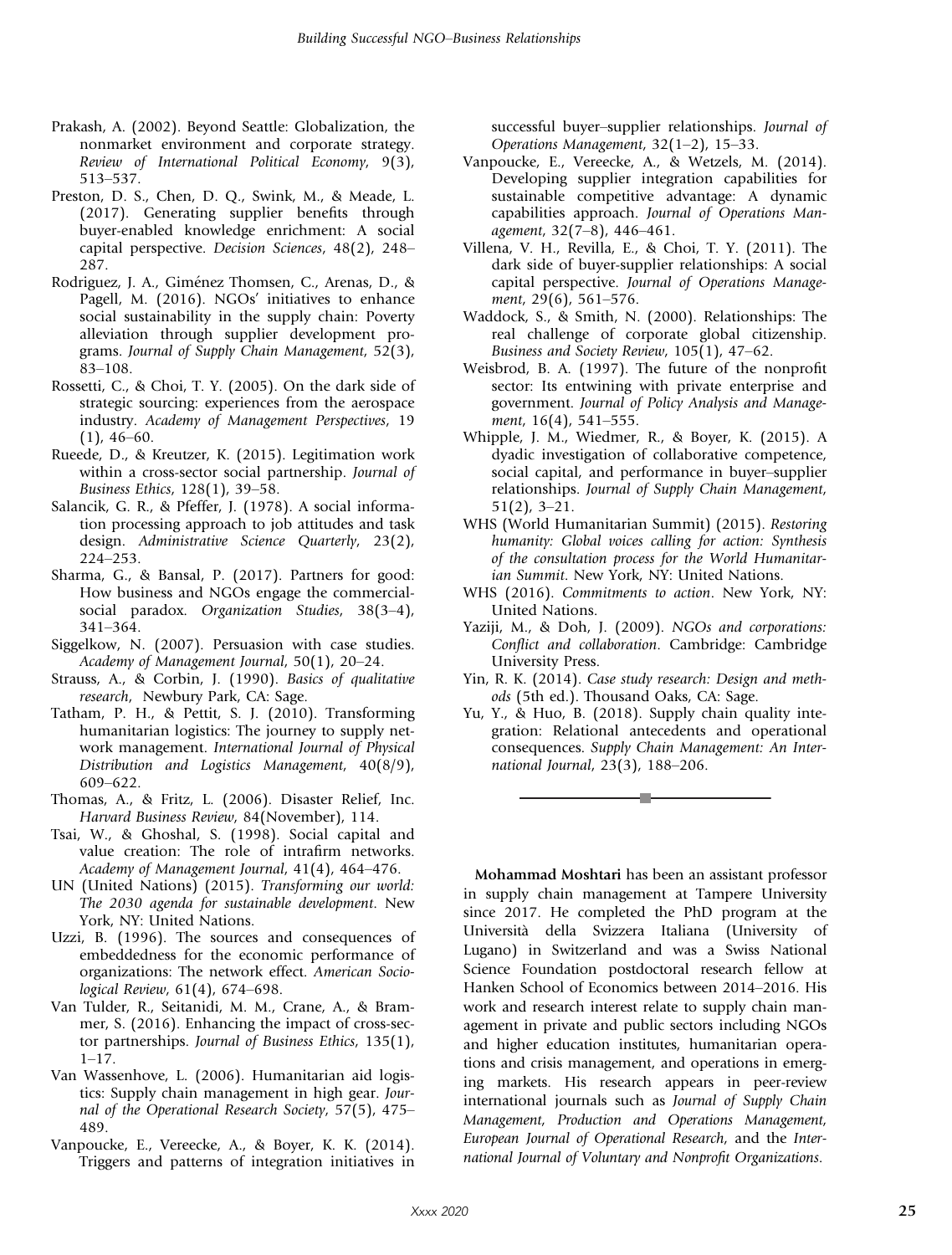- Prakash, A. (2002). Beyond Seattle: Globalization, the nonmarket environment and corporate strategy. Review of International Political Economy, 9(3), 513–537.
- Preston, D. S., Chen, D. Q., Swink, M., & Meade, L. (2017). Generating supplier benefits through buyer-enabled knowledge enrichment: A social capital perspective. Decision Sciences, 48(2), 248– 287.
- Rodriguez, J. A., Giménez Thomsen, C., Arenas, D., & Pagell, M. (2016). NGOs' initiatives to enhance social sustainability in the supply chain: Poverty alleviation through supplier development programs. Journal of Supply Chain Management, 52(3), 83–108.
- Rossetti, C., & Choi, T. Y. (2005). On the dark side of strategic sourcing: experiences from the aerospace industry. Academy of Management Perspectives, 19  $(1)$ , 46–60.
- Rueede, D., & Kreutzer, K. (2015). Legitimation work within a cross-sector social partnership. Journal of Business Ethics, 128(1), 39–58.
- Salancik, G. R., & Pfeffer, J. (1978). A social information processing approach to job attitudes and task design. Administrative Science Quarterly, 23(2), 224–253.
- Sharma, G., & Bansal, P. (2017). Partners for good: How business and NGOs engage the commercialsocial paradox. Organization Studies, 38(3-4), 341–364.
- Siggelkow, N. (2007). Persuasion with case studies. Academy of Management Journal, 50(1), 20–24.
- Strauss, A., & Corbin, J. (1990). Basics of qualitative research, Newbury Park, CA: Sage.
- Tatham, P. H., & Pettit, S. J. (2010). Transforming humanitarian logistics: The journey to supply network management. International Journal of Physical Distribution and Logistics Management, 40(8/9), 609–622.
- Thomas, A., & Fritz, L. (2006). Disaster Relief, Inc. Harvard Business Review, 84(November), 114.
- Tsai, W., & Ghoshal, S. (1998). Social capital and value creation: The role of intrafirm networks. Academy of Management Journal, 41(4), 464–476.
- UN (United Nations) (2015). Transforming our world: The 2030 agenda for sustainable development. New York, NY: United Nations.
- Uzzi, B. (1996). The sources and consequences of embeddedness for the economic performance of organizations: The network effect. American Sociological Review, 61(4), 674–698.
- Van Tulder, R., Seitanidi, M. M., Crane, A., & Brammer, S. (2016). Enhancing the impact of cross-sector partnerships. Journal of Business Ethics, 135(1),  $1-17$ .
- Van Wassenhove, L. (2006). Humanitarian aid logistics: Supply chain management in high gear. Journal of the Operational Research Society, 57(5), 475– 489.
- Vanpoucke, E., Vereecke, A., & Boyer, K. K. (2014). Triggers and patterns of integration initiatives in

successful buyer–supplier relationships. Journal of Operations Management, 32(1–2), 15–33.

- Vanpoucke, E., Vereecke, A., & Wetzels, M. (2014). Developing supplier integration capabilities for sustainable competitive advantage: A dynamic capabilities approach. Journal of Operations Management, 32(7–8), 446–461.
- Villena, V. H., Revilla, E., & Choi, T. Y. (2011). The dark side of buyer-supplier relationships: A social capital perspective. Journal of Operations Management, 29(6), 561–576.
- Waddock, S., & Smith, N. (2000). Relationships: The real challenge of corporate global citizenship. Business and Society Review, 105(1), 47–62.
- Weisbrod, B. A. (1997). The future of the nonprofit sector: Its entwining with private enterprise and government. Journal of Policy Analysis and Management, 16(4), 541–555.
- Whipple, J. M., Wiedmer, R., & Boyer, K. (2015). A dyadic investigation of collaborative competence, social capital, and performance in buyer–supplier relationships. Journal of Supply Chain Management, 51(2), 3–21.
- WHS (World Humanitarian Summit) (2015). Restoring humanity: Global voices calling for action: Synthesis of the consultation process for the World Humanitarian Summit. New York, NY: United Nations.
- WHS (2016). Commitments to action. New York, NY: United Nations.
- Yaziji, M., & Doh, J. (2009). NGOs and corporations: Conflict and collaboration. Cambridge: Cambridge University Press.
- Yin, R. K. (2014). Case study research: Design and methods (5th ed.). Thousand Oaks, CA: Sage.
- Yu, Y., & Huo, B. (2018). Supply chain quality integration: Relational antecedents and operational consequences. Supply Chain Management: An International Journal, 23(3), 188–206.